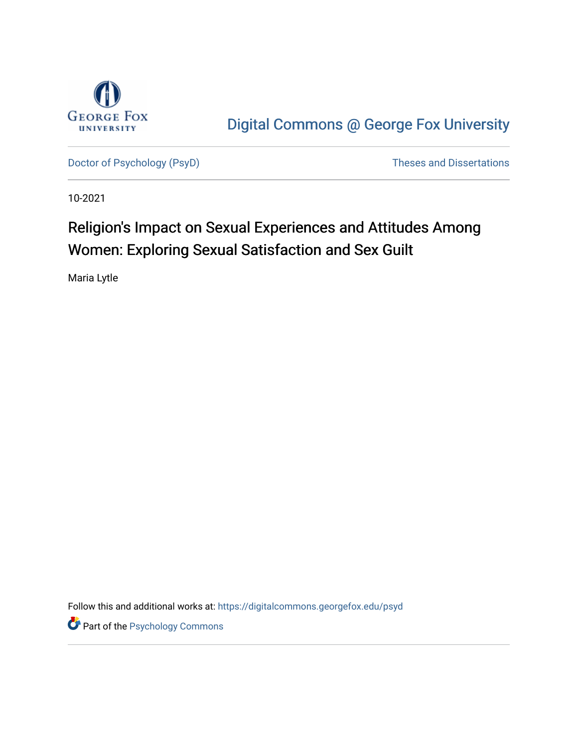

[Digital Commons @ George Fox University](https://digitalcommons.georgefox.edu/) 

[Doctor of Psychology \(PsyD\)](https://digitalcommons.georgefox.edu/psyd) and Dissertations of Psychology (PsyD)

10-2021

# Religion's Impact on Sexual Experiences and Attitudes Among Women: Exploring Sexual Satisfaction and Sex Guilt

Maria Lytle

Follow this and additional works at: [https://digitalcommons.georgefox.edu/psyd](https://digitalcommons.georgefox.edu/psyd?utm_source=digitalcommons.georgefox.edu%2Fpsyd%2F435&utm_medium=PDF&utm_campaign=PDFCoverPages)

**Part of the Psychology Commons**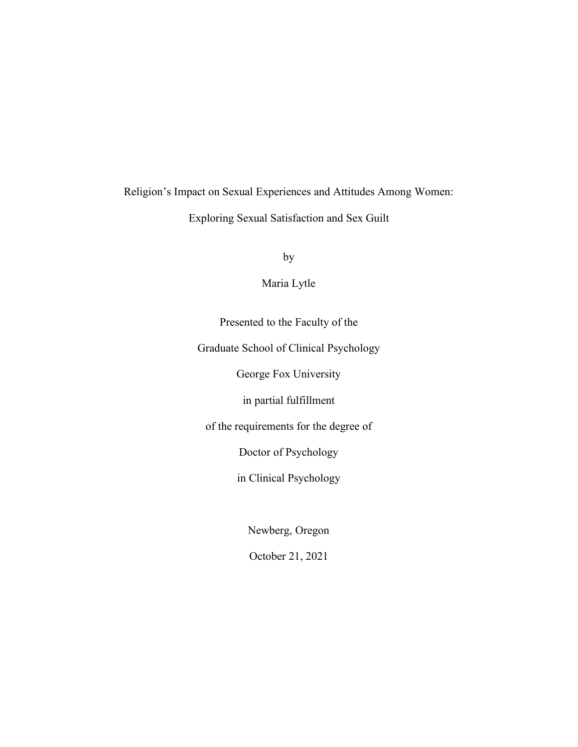# Religion's Impact on Sexual Experiences and Attitudes Among Women: Exploring Sexual Satisfaction and Sex Guilt

by

Maria Lytle

Presented to the Faculty of the

Graduate School of Clinical Psychology

George Fox University

in partial fulfillment

of the requirements for the degree of

Doctor of Psychology

in Clinical Psychology

Newberg, Oregon

October 21, 2021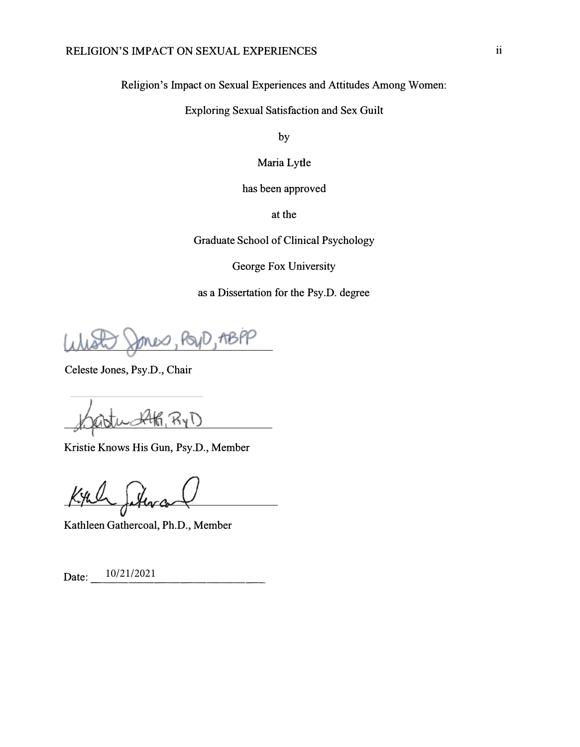Religion's Impact on Sexual Experiences and Attitudes Among Women:

Exploring Sexual Satisfaction and Sex Guilt

by

Maria Lytle

has been approved

at the

Graduate School of Clinical Psychology

George Fox University

as a Dissertation for the Psy.D. degree

D,19BPP

Celeste Jones, Psy.D., Chair

Kristie Knows His Gun, Psy.D., Member

Kathleen Gathercoal, Ph.D., Member

Date:  $\frac{10/21/2021}{\cdot}$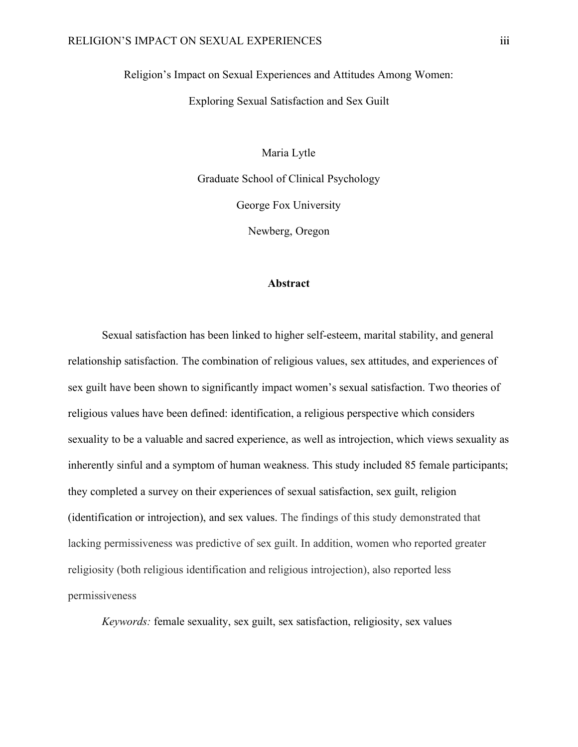Religion's Impact on Sexual Experiences and Attitudes Among Women:

Exploring Sexual Satisfaction and Sex Guilt

Maria Lytle Graduate School of Clinical Psychology George Fox University

Newberg, Oregon

#### **Abstract**

Sexual satisfaction has been linked to higher self-esteem, marital stability, and general relationship satisfaction. The combination of religious values, sex attitudes, and experiences of sex guilt have been shown to significantly impact women's sexual satisfaction. Two theories of religious values have been defined: identification, a religious perspective which considers sexuality to be a valuable and sacred experience, as well as introjection, which views sexuality as inherently sinful and a symptom of human weakness. This study included 85 female participants; they completed a survey on their experiences of sexual satisfaction, sex guilt, religion (identification or introjection), and sex values. The findings of this study demonstrated that lacking permissiveness was predictive of sex guilt. In addition, women who reported greater religiosity (both religious identification and religious introjection), also reported less permissiveness

*Keywords:* female sexuality, sex guilt, sex satisfaction, religiosity, sex values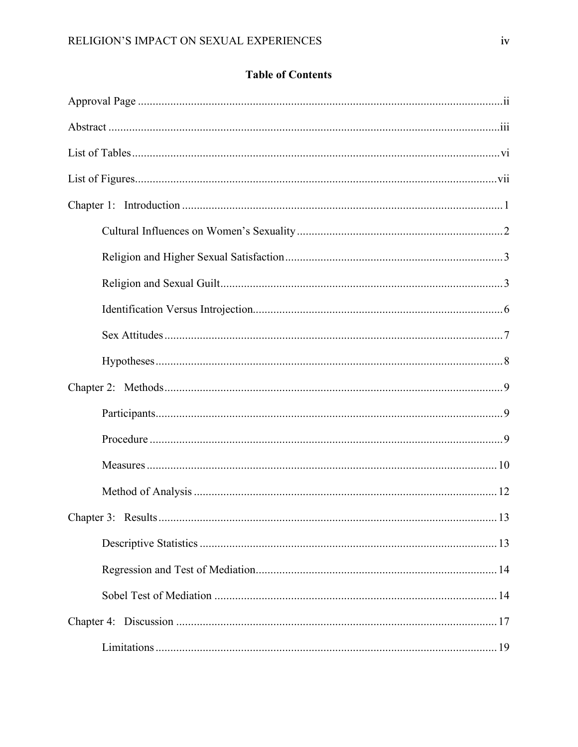### **Table of Contents**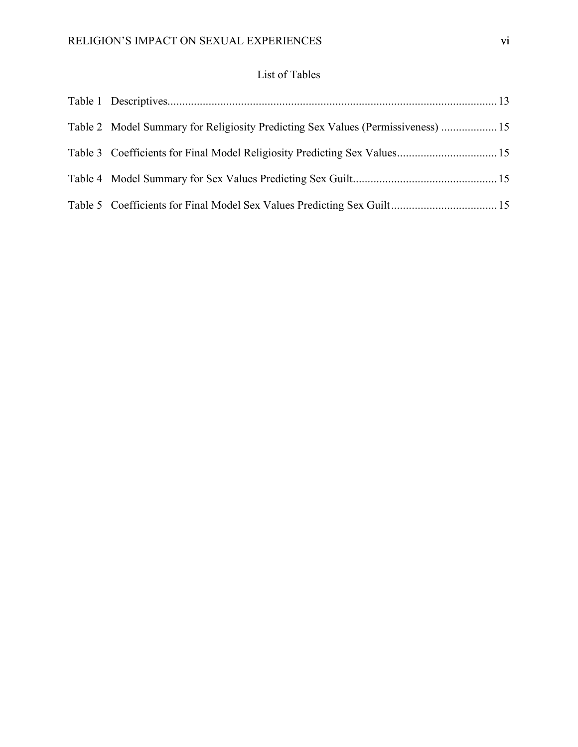#### List of Tables

| Table 2 Model Summary for Religiosity Predicting Sex Values (Permissiveness)  15 |  |
|----------------------------------------------------------------------------------|--|
|                                                                                  |  |
|                                                                                  |  |
|                                                                                  |  |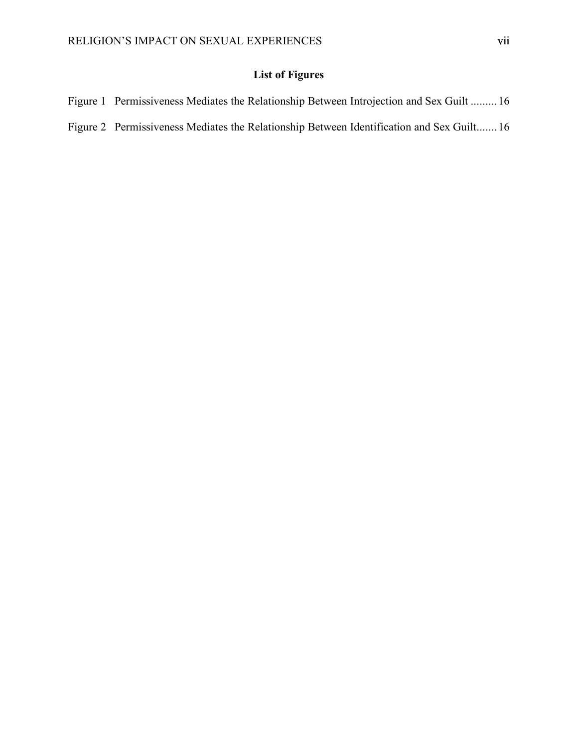## **List of Figures**

| Figure 1 Permissiveness Mediates the Relationship Between Introjection and Sex Guilt  16  |  |
|-------------------------------------------------------------------------------------------|--|
| Figure 2 Permissiveness Mediates the Relationship Between Identification and Sex Guilt 16 |  |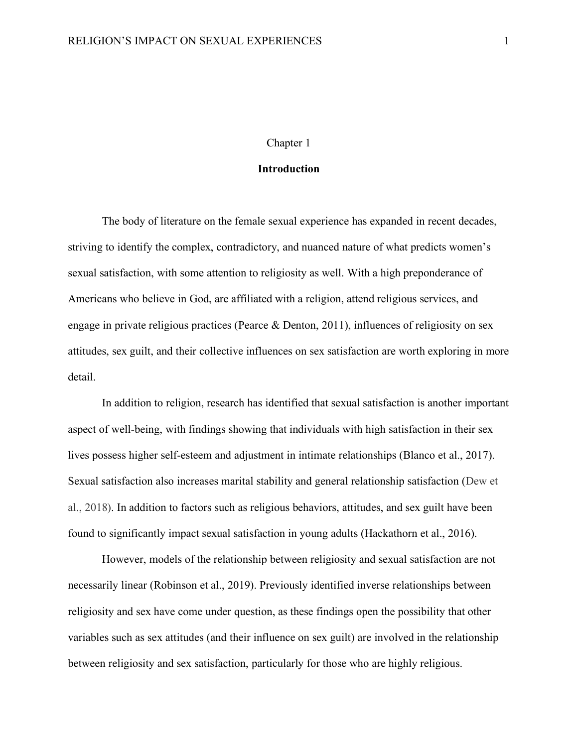#### Chapter 1

#### **Introduction**

The body of literature on the female sexual experience has expanded in recent decades, striving to identify the complex, contradictory, and nuanced nature of what predicts women's sexual satisfaction, with some attention to religiosity as well. With a high preponderance of Americans who believe in God, are affiliated with a religion, attend religious services, and engage in private religious practices (Pearce & Denton, 2011), influences of religiosity on sex attitudes, sex guilt, and their collective influences on sex satisfaction are worth exploring in more detail.

In addition to religion, research has identified that sexual satisfaction is another important aspect of well-being, with findings showing that individuals with high satisfaction in their sex lives possess higher self-esteem and adjustment in intimate relationships (Blanco et al., 2017). Sexual satisfaction also increases marital stability and general relationship satisfaction (Dew et al., 2018). In addition to factors such as religious behaviors, attitudes, and sex guilt have been found to significantly impact sexual satisfaction in young adults (Hackathorn et al., 2016).

However, models of the relationship between religiosity and sexual satisfaction are not necessarily linear (Robinson et al., 2019). Previously identified inverse relationships between religiosity and sex have come under question, as these findings open the possibility that other variables such as sex attitudes (and their influence on sex guilt) are involved in the relationship between religiosity and sex satisfaction, particularly for those who are highly religious.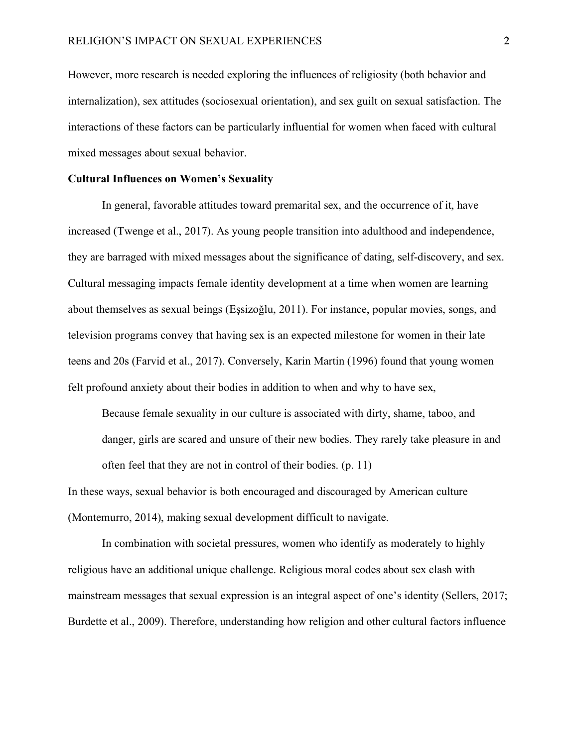However, more research is needed exploring the influences of religiosity (both behavior and internalization), sex attitudes (sociosexual orientation), and sex guilt on sexual satisfaction. The interactions of these factors can be particularly influential for women when faced with cultural mixed messages about sexual behavior.

#### **Cultural Influences on Women's Sexuality**

In general, favorable attitudes toward premarital sex, and the occurrence of it, have increased (Twenge et al., 2017). As young people transition into adulthood and independence, they are barraged with mixed messages about the significance of dating, self-discovery, and sex. Cultural messaging impacts female identity development at a time when women are learning about themselves as sexual beings (Eşsizoğlu, 2011). For instance, popular movies, songs, and television programs convey that having sex is an expected milestone for women in their late teens and 20s (Farvid et al., 2017). Conversely, Karin Martin (1996) found that young women felt profound anxiety about their bodies in addition to when and why to have sex,

Because female sexuality in our culture is associated with dirty, shame, taboo, and danger, girls are scared and unsure of their new bodies. They rarely take pleasure in and often feel that they are not in control of their bodies. (p. 11)

In these ways, sexual behavior is both encouraged and discouraged by American culture (Montemurro, 2014), making sexual development difficult to navigate.

In combination with societal pressures, women who identify as moderately to highly religious have an additional unique challenge. Religious moral codes about sex clash with mainstream messages that sexual expression is an integral aspect of one's identity (Sellers, 2017; Burdette et al., 2009). Therefore, understanding how religion and other cultural factors influence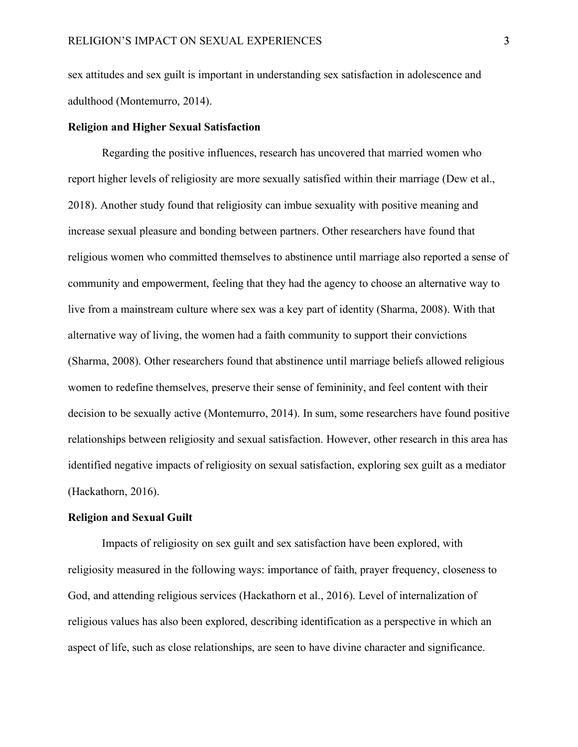sex attitudes and sex guilt is important in understanding sex satisfaction in adolescence and adulthood (Montemurro, 2014).

#### **Religion and Higher Sexual Satisfaction**

Regarding the positive influences, research has uncovered that married women who report higher levels of religiosity are more sexually satisfied within their marriage (Dew et al., 2018). Another study found that religiosity can imbue sexuality with positive meaning and increase sexual pleasure and bonding between partners. Other researchers have found that religious women who committed themselves to abstinence until marriage also reported a sense of community and empowerment, feeling that they had the agency to choose an alternative way to live from a mainstream culture where sex was a key part of identity (Sharma, 2008). With that alternative way of living, the women had a faith community to support their convictions (Sharma, 2008). Other researchers found that abstinence until marriage beliefs allowed religious women to redefine themselves, preserve their sense of femininity, and feel content with their decision to be sexually active (Montemurro, 2014). In sum, some researchers have found positive relationships between religiosity and sexual satisfaction. However, other research in this area has identified negative impacts of religiosity on sexual satisfaction, exploring sex guilt as a mediator (Hackathorn, 2016).

#### **Religion and Sexual Guilt**

Impacts of religiosity on sex guilt and sex satisfaction have been explored, with religiosity measured in the following ways: importance of faith, prayer frequency, closeness to God, and attending religious services (Hackathorn et al., 2016). Level of internalization of religious values has also been explored, describing identification as a perspective in which an aspect of life, such as close relationships, are seen to have divine character and significance.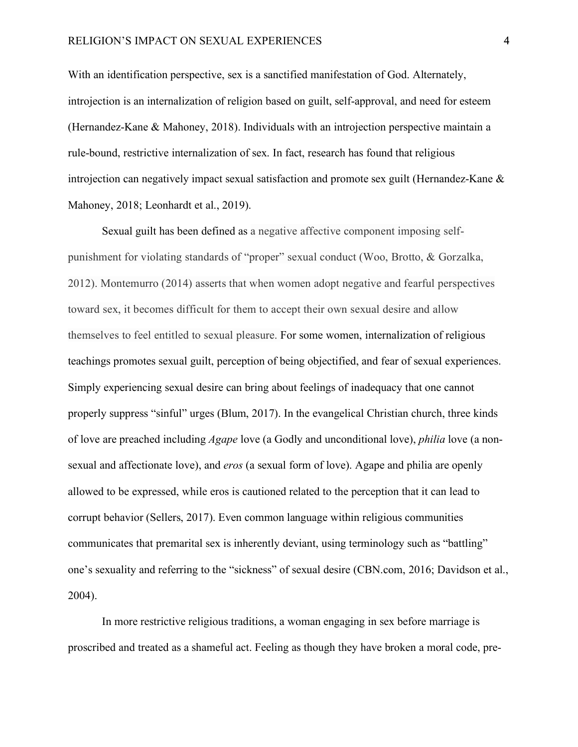With an identification perspective, sex is a sanctified manifestation of God. Alternately, introjection is an internalization of religion based on guilt, self-approval, and need for esteem (Hernandez-Kane & Mahoney, 2018). Individuals with an introjection perspective maintain a rule-bound, restrictive internalization of sex. In fact, research has found that religious introjection can negatively impact sexual satisfaction and promote sex guilt (Hernandez-Kane & Mahoney, 2018; Leonhardt et al., 2019).

Sexual guilt has been defined as a negative affective component imposing selfpunishment for violating standards of "proper" sexual conduct (Woo, Brotto, & Gorzalka, 2012). Montemurro (2014) asserts that when women adopt negative and fearful perspectives toward sex, it becomes difficult for them to accept their own sexual desire and allow themselves to feel entitled to sexual pleasure. For some women, internalization of religious teachings promotes sexual guilt, perception of being objectified, and fear of sexual experiences. Simply experiencing sexual desire can bring about feelings of inadequacy that one cannot properly suppress "sinful" urges (Blum, 2017). In the evangelical Christian church, three kinds of love are preached including *Agape* love (a Godly and unconditional love), *philia* love (a nonsexual and affectionate love), and *eros* (a sexual form of love). Agape and philia are openly allowed to be expressed, while eros is cautioned related to the perception that it can lead to corrupt behavior (Sellers, 2017). Even common language within religious communities communicates that premarital sex is inherently deviant, using terminology such as "battling" one's sexuality and referring to the "sickness" of sexual desire (CBN.com, 2016; Davidson et al., 2004).

In more restrictive religious traditions, a woman engaging in sex before marriage is proscribed and treated as a shameful act. Feeling as though they have broken a moral code, pre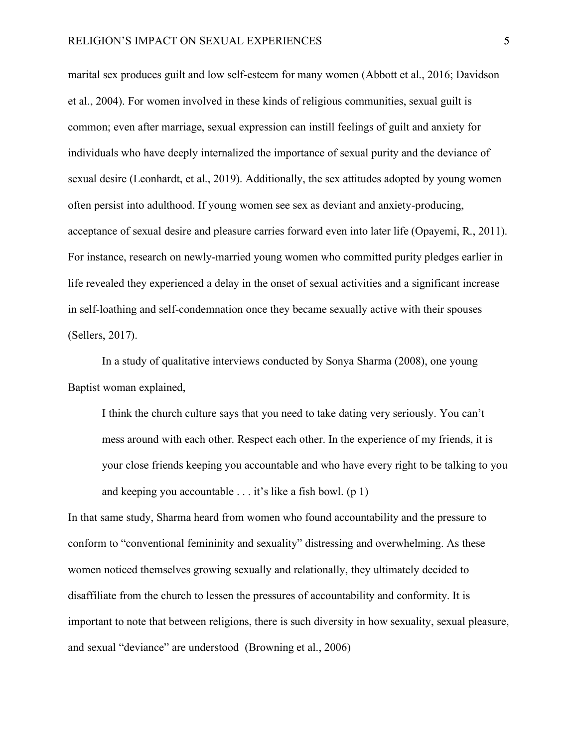marital sex produces guilt and low self-esteem for many women (Abbott et al., 2016; Davidson et al., 2004). For women involved in these kinds of religious communities, sexual guilt is common; even after marriage, sexual expression can instill feelings of guilt and anxiety for individuals who have deeply internalized the importance of sexual purity and the deviance of sexual desire (Leonhardt, et al., 2019). Additionally, the sex attitudes adopted by young women often persist into adulthood. If young women see sex as deviant and anxiety-producing, acceptance of sexual desire and pleasure carries forward even into later life (Opayemi, R., 2011). For instance, research on newly-married young women who committed purity pledges earlier in life revealed they experienced a delay in the onset of sexual activities and a significant increase in self-loathing and self-condemnation once they became sexually active with their spouses (Sellers, 2017).

In a study of qualitative interviews conducted by Sonya Sharma (2008), one young Baptist woman explained,

I think the church culture says that you need to take dating very seriously. You can't mess around with each other. Respect each other. In the experience of my friends, it is your close friends keeping you accountable and who have every right to be talking to you and keeping you accountable . . . it's like a fish bowl. (p 1)

In that same study, Sharma heard from women who found accountability and the pressure to conform to "conventional femininity and sexuality" distressing and overwhelming. As these women noticed themselves growing sexually and relationally, they ultimately decided to disaffiliate from the church to lessen the pressures of accountability and conformity. It is important to note that between religions, there is such diversity in how sexuality, sexual pleasure, and sexual "deviance" are understood (Browning et al., 2006)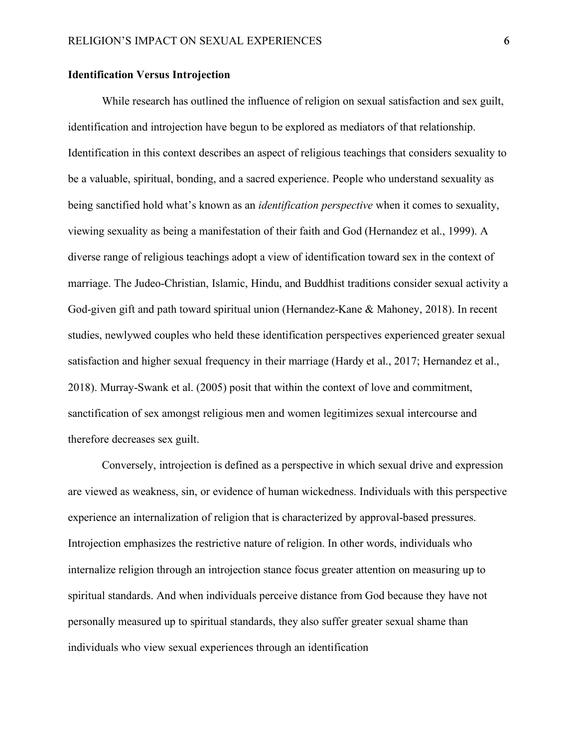#### **Identification Versus Introjection**

While research has outlined the influence of religion on sexual satisfaction and sex guilt, identification and introjection have begun to be explored as mediators of that relationship. Identification in this context describes an aspect of religious teachings that considers sexuality to be a valuable, spiritual, bonding, and a sacred experience. People who understand sexuality as being sanctified hold what's known as an *identification perspective* when it comes to sexuality, viewing sexuality as being a manifestation of their faith and God (Hernandez et al., 1999). A diverse range of religious teachings adopt a view of identification toward sex in the context of marriage. The Judeo-Christian, Islamic, Hindu, and Buddhist traditions consider sexual activity a God-given gift and path toward spiritual union (Hernandez-Kane & Mahoney, 2018). In recent studies, newlywed couples who held these identification perspectives experienced greater sexual satisfaction and higher sexual frequency in their marriage (Hardy et al., 2017; Hernandez et al., 2018). Murray-Swank et al. (2005) posit that within the context of love and commitment, sanctification of sex amongst religious men and women legitimizes sexual intercourse and therefore decreases sex guilt.

Conversely, introjection is defined as a perspective in which sexual drive and expression are viewed as weakness, sin, or evidence of human wickedness. Individuals with this perspective experience an internalization of religion that is characterized by approval-based pressures. Introjection emphasizes the restrictive nature of religion. In other words, individuals who internalize religion through an introjection stance focus greater attention on measuring up to spiritual standards. And when individuals perceive distance from God because they have not personally measured up to spiritual standards, they also suffer greater sexual shame than individuals who view sexual experiences through an identification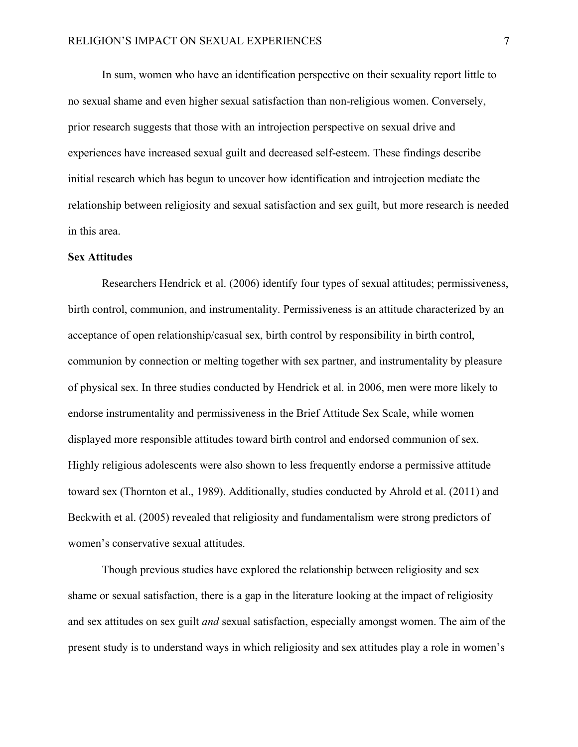In sum, women who have an identification perspective on their sexuality report little to no sexual shame and even higher sexual satisfaction than non-religious women. Conversely, prior research suggests that those with an introjection perspective on sexual drive and experiences have increased sexual guilt and decreased self-esteem. These findings describe initial research which has begun to uncover how identification and introjection mediate the relationship between religiosity and sexual satisfaction and sex guilt, but more research is needed in this area.

#### **Sex Attitudes**

Researchers Hendrick et al. (2006) identify four types of sexual attitudes; permissiveness, birth control, communion, and instrumentality. Permissiveness is an attitude characterized by an acceptance of open relationship/casual sex, birth control by responsibility in birth control, communion by connection or melting together with sex partner, and instrumentality by pleasure of physical sex. In three studies conducted by Hendrick et al. in 2006, men were more likely to endorse instrumentality and permissiveness in the Brief Attitude Sex Scale, while women displayed more responsible attitudes toward birth control and endorsed communion of sex. Highly religious adolescents were also shown to less frequently endorse a permissive attitude toward sex (Thornton et al., 1989). Additionally, studies conducted by Ahrold et al. (2011) and Beckwith et al. (2005) revealed that religiosity and fundamentalism were strong predictors of women's conservative sexual attitudes.

Though previous studies have explored the relationship between religiosity and sex shame or sexual satisfaction, there is a gap in the literature looking at the impact of religiosity and sex attitudes on sex guilt *and* sexual satisfaction, especially amongst women. The aim of the present study is to understand ways in which religiosity and sex attitudes play a role in women's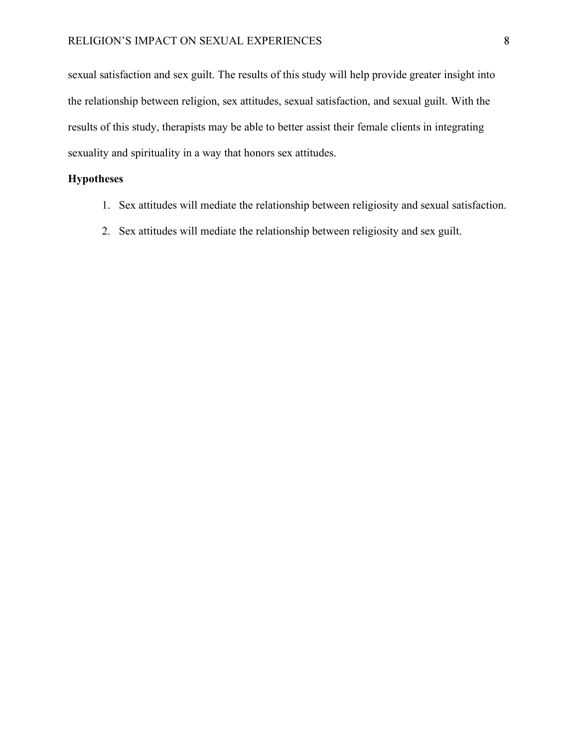sexual satisfaction and sex guilt. The results of this study will help provide greater insight into the relationship between religion, sex attitudes, sexual satisfaction, and sexual guilt. With the results of this study, therapists may be able to better assist their female clients in integrating sexuality and spirituality in a way that honors sex attitudes.

#### **Hypotheses**

- 1. Sex attitudes will mediate the relationship between religiosity and sexual satisfaction.
- 2. Sex attitudes will mediate the relationship between religiosity and sex guilt.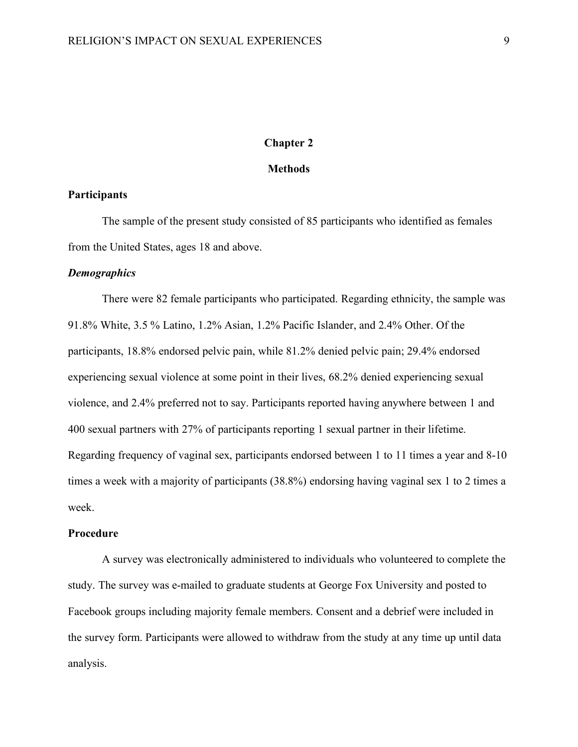#### **Chapter 2**

#### **Methods**

#### **Participants**

The sample of the present study consisted of 85 participants who identified as females from the United States, ages 18 and above.

#### *Demographics*

There were 82 female participants who participated. Regarding ethnicity, the sample was 91.8% White, 3.5 % Latino, 1.2% Asian, 1.2% Pacific Islander, and 2.4% Other. Of the participants, 18.8% endorsed pelvic pain, while 81.2% denied pelvic pain; 29.4% endorsed experiencing sexual violence at some point in their lives, 68.2% denied experiencing sexual violence, and 2.4% preferred not to say. Participants reported having anywhere between 1 and 400 sexual partners with 27% of participants reporting 1 sexual partner in their lifetime. Regarding frequency of vaginal sex, participants endorsed between 1 to 11 times a year and 8-10 times a week with a majority of participants (38.8%) endorsing having vaginal sex 1 to 2 times a week.

#### **Procedure**

A survey was electronically administered to individuals who volunteered to complete the study. The survey was e-mailed to graduate students at George Fox University and posted to Facebook groups including majority female members. Consent and a debrief were included in the survey form. Participants were allowed to withdraw from the study at any time up until data analysis.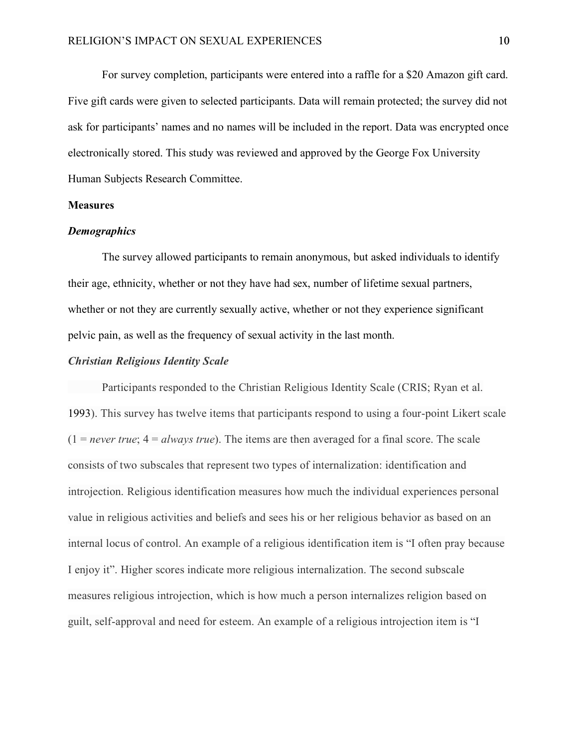For survey completion, participants were entered into a raffle for a \$20 Amazon gift card. Five gift cards were given to selected participants. Data will remain protected; the survey did not ask for participants' names and no names will be included in the report. Data was encrypted once electronically stored. This study was reviewed and approved by the George Fox University Human Subjects Research Committee.

#### **Measures**

#### *Demographics*

The survey allowed participants to remain anonymous, but asked individuals to identify their age, ethnicity, whether or not they have had sex, number of lifetime sexual partners, whether or not they are currently sexually active, whether or not they experience significant pelvic pain, as well as the frequency of sexual activity in the last month.

#### *Christian Religious Identity Scale*

Participants responded to the Christian Religious Identity Scale (CRIS; Ryan et al. 1993). This survey has twelve items that participants respond to using a four-point Likert scale  $(1 = never true; 4 = always true)$ . The items are then averaged for a final score. The scale consists of two subscales that represent two types of internalization: identification and introjection. Religious identification measures how much the individual experiences personal value in religious activities and beliefs and sees his or her religious behavior as based on an internal locus of control. An example of a religious identification item is "I often pray because I enjoy it". Higher scores indicate more religious internalization. The second subscale measures religious introjection, which is how much a person internalizes religion based on guilt, self-approval and need for esteem. An example of a religious introjection item is "I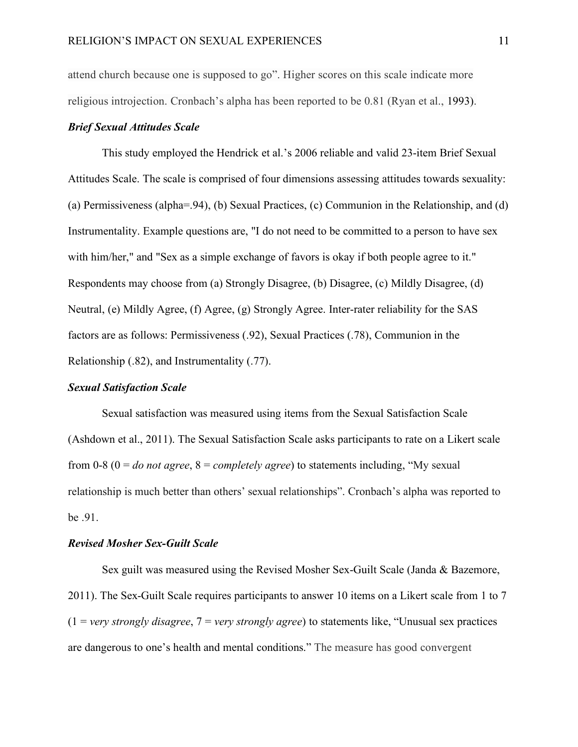attend church because one is supposed to go". Higher scores on this scale indicate more religious introjection. Cronbach's alpha has been reported to be 0.81 (Ryan et al., 1993).

#### *Brief Sexual Attitudes Scale*

This study employed the Hendrick et al.'s 2006 reliable and valid 23-item Brief Sexual Attitudes Scale. The scale is comprised of four dimensions assessing attitudes towards sexuality: (a) Permissiveness (alpha=.94), (b) Sexual Practices, (c) Communion in the Relationship, and (d) Instrumentality. Example questions are, "I do not need to be committed to a person to have sex with him/her," and "Sex as a simple exchange of favors is okay if both people agree to it." Respondents may choose from (a) Strongly Disagree, (b) Disagree, (c) Mildly Disagree, (d) Neutral, (e) Mildly Agree, (f) Agree, (g) Strongly Agree. Inter-rater reliability for the SAS factors are as follows: Permissiveness (.92), Sexual Practices (.78), Communion in the Relationship (.82), and Instrumentality (.77).

#### *Sexual Satisfaction Scale*

Sexual satisfaction was measured using items from the Sexual Satisfaction Scale (Ashdown et al., 2011). The Sexual Satisfaction Scale asks participants to rate on a Likert scale from 0-8 (0 = *do not agree*, 8 = *completely agree*) to statements including, "My sexual relationship is much better than others' sexual relationships". Cronbach's alpha was reported to be .91.

#### *Revised Mosher Sex-Guilt Scale*

Sex guilt was measured using the Revised Mosher Sex-Guilt Scale (Janda & Bazemore, 2011). The Sex-Guilt Scale requires participants to answer 10 items on a Likert scale from 1 to 7 (1 = *very strongly disagree*, 7 = *very strongly agree*) to statements like, "Unusual sex practices are dangerous to one's health and mental conditions." The measure has good convergent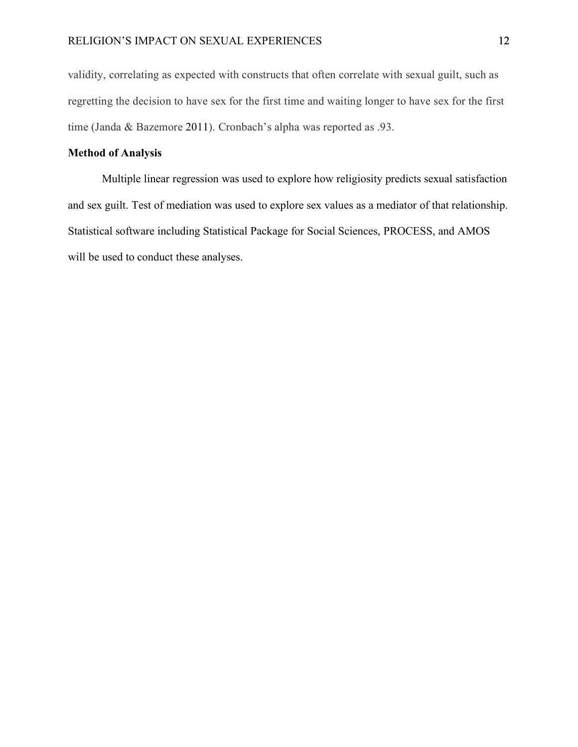validity, correlating as expected with constructs that often correlate with sexual guilt, such as regretting the decision to have sex for the first time and waiting longer to have sex for the first time (Janda & Bazemore 2011). Cronbach's alpha was reported as .93.

#### **Method of Analysis**

Multiple linear regression was used to explore how religiosity predicts sexual satisfaction and sex guilt. Test of mediation was used to explore sex values as a mediator of that relationship. Statistical software including Statistical Package for Social Sciences, PROCESS, and AMOS will be used to conduct these analyses.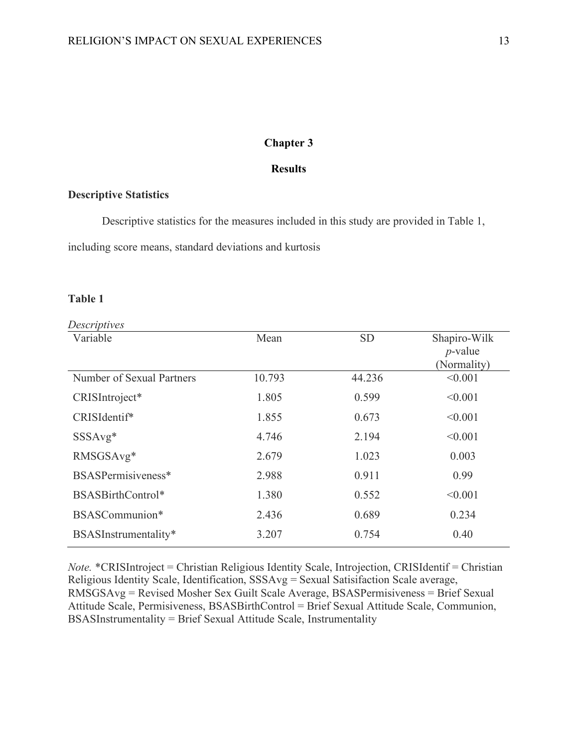#### **Chapter 3**

#### **Results**

#### **Descriptive Statistics**

Descriptive statistics for the measures included in this study are provided in Table 1,

including score means, standard deviations and kurtosis

#### **Table 1**

| Descriptives              |        |           |                            |
|---------------------------|--------|-----------|----------------------------|
| Variable                  | Mean   | <b>SD</b> | Shapiro-Wilk<br>$p$ -value |
|                           |        |           | (Normality)                |
| Number of Sexual Partners | 10.793 | 44.236    | < 0.001                    |
| CRISIntroject*            | 1.805  | 0.599     | < 0.001                    |
| CRISIdentif*              | 1.855  | 0.673     | < 0.001                    |
| $SSSAvg*$                 | 4.746  | 2.194     | < 0.001                    |
| RMSGSAvg*                 | 2.679  | 1.023     | 0.003                      |
| BSASPermisiveness*        | 2.988  | 0.911     | 0.99                       |
| BSASBirthControl*         | 1.380  | 0.552     | < 0.001                    |
| BSASCommunion*            | 2.436  | 0.689     | 0.234                      |
| BSASInstrumentality*      | 3.207  | 0.754     | 0.40                       |
|                           |        |           |                            |

*Note.* \*CRISIntroject = Christian Religious Identity Scale, Introjection, CRISIdentif = Christian Religious Identity Scale, Identification, SSSAvg = Sexual Satisifaction Scale average, RMSGSAvg = Revised Mosher Sex Guilt Scale Average, BSASPermisiveness = Brief Sexual Attitude Scale, Permisiveness, BSASBirthControl = Brief Sexual Attitude Scale, Communion, BSASInstrumentality = Brief Sexual Attitude Scale, Instrumentality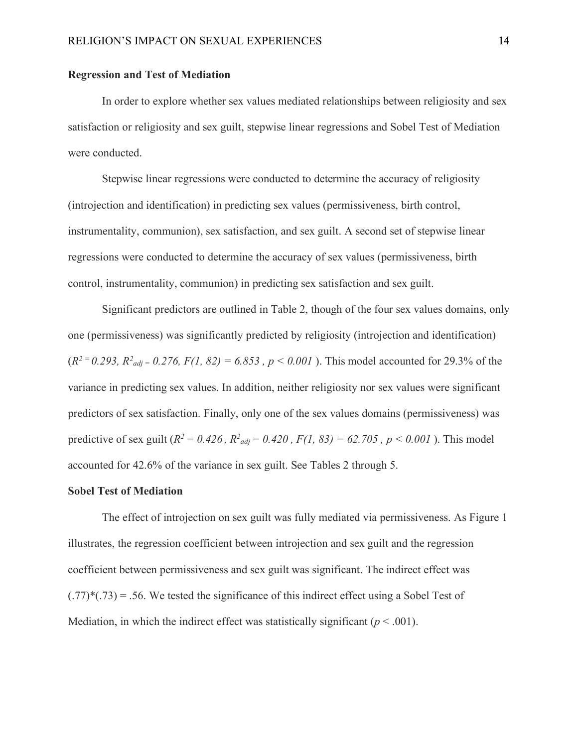#### **Regression and Test of Mediation**

In order to explore whether sex values mediated relationships between religiosity and sex satisfaction or religiosity and sex guilt, stepwise linear regressions and Sobel Test of Mediation were conducted.

Stepwise linear regressions were conducted to determine the accuracy of religiosity (introjection and identification) in predicting sex values (permissiveness, birth control, instrumentality, communion), sex satisfaction, and sex guilt. A second set of stepwise linear regressions were conducted to determine the accuracy of sex values (permissiveness, birth control, instrumentality, communion) in predicting sex satisfaction and sex guilt.

Significant predictors are outlined in Table 2, though of the four sex values domains, only one (permissiveness) was significantly predicted by religiosity (introjection and identification)  $(R^{2} = 0.293, R^{2}$  *adj* = 0.276,  $F(1, 82) = 6.853$ ,  $p < 0.001$ ). This model accounted for 29.3% of the variance in predicting sex values. In addition, neither religiosity nor sex values were significant predictors of sex satisfaction. Finally, only one of the sex values domains (permissiveness) was predictive of sex guilt ( $R^2 = 0.426$ ,  $R^2_{adj} = 0.420$ ,  $F(1, 83) = 62.705$ ,  $p < 0.001$ ). This model accounted for 42.6% of the variance in sex guilt. See Tables 2 through 5.

#### **Sobel Test of Mediation**

The effect of introjection on sex guilt was fully mediated via permissiveness. As Figure 1 illustrates, the regression coefficient between introjection and sex guilt and the regression coefficient between permissiveness and sex guilt was significant. The indirect effect was  $(.77)^*(.73) = .56$ . We tested the significance of this indirect effect using a Sobel Test of Mediation, in which the indirect effect was statistically significant  $(p < .001)$ .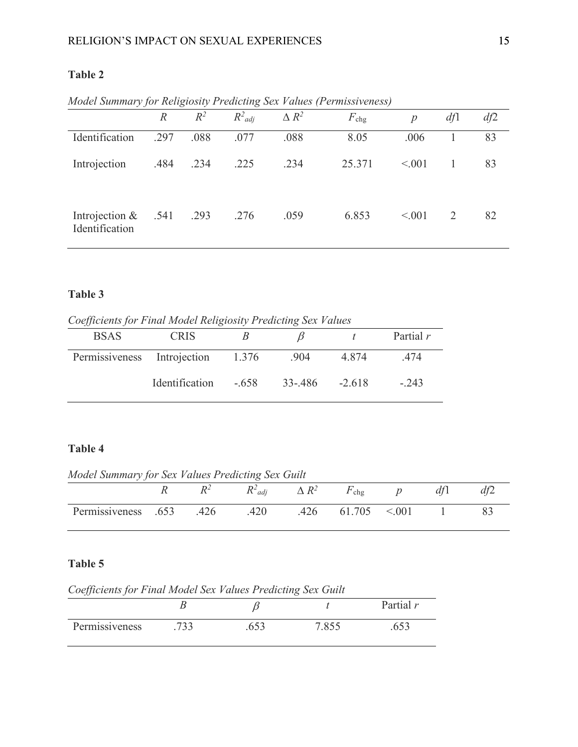#### **Table 2**

|                                          | $\mathbb{R}$ | $R^2$ | $R^2_{adi}$ | $\Delta R^2$ | $F_{\rm chg}$ | $\mathcal{D}$ | df1 | df2 |
|------------------------------------------|--------------|-------|-------------|--------------|---------------|---------------|-----|-----|
| Identification                           | .297         | .088  | .077        | .088         | 8.05          | .006          |     | 83  |
| Introjection                             | .484         | .234  | .225        | .234         | 25.371        | < 0.01        |     | 83  |
| Introjection $& 0.541$<br>Identification |              | .293  | .276        | .059         | 6.853         | < 001         | 2   | 82  |

*Model Summary for Religiosity Predicting Sex Values (Permissiveness)*

#### **Table 3**

*Coefficients for Final Model Religiosity Predicting Sex Values*

| $\cdot$                           |                |        |         |         |           |
|-----------------------------------|----------------|--------|---------|---------|-----------|
| <b>BSAS</b>                       | <b>CRIS</b>    |        |         |         | Partial r |
| Permissiveness Introjection 1.376 |                |        | .904    | 4874    | 474       |
|                                   | Identification | $-658$ | 33-.486 | $-2618$ | $-.243$   |

#### **Table 4**

*Model Summary for Sex Values Predicting Sex Guilt*

|                     | D2   | $R^2$ adi | $\Delta R^2$ | $F_{\rm chg}$ | $\mathcal{D}$ | df |  |
|---------------------|------|-----------|--------------|---------------|---------------|----|--|
| Permissiveness .653 | .426 | .420      |              | $.426$ 61.705 | < 001         |    |  |

#### **Table 5**

*Coefficients for Final Model Sex Values Predicting Sex Guilt*

| IJ<br>$\cdot$  |     |     |      |           |
|----------------|-----|-----|------|-----------|
|                |     |     |      | Partial r |
| Permissiveness | 722 | vvJ | 7055 |           |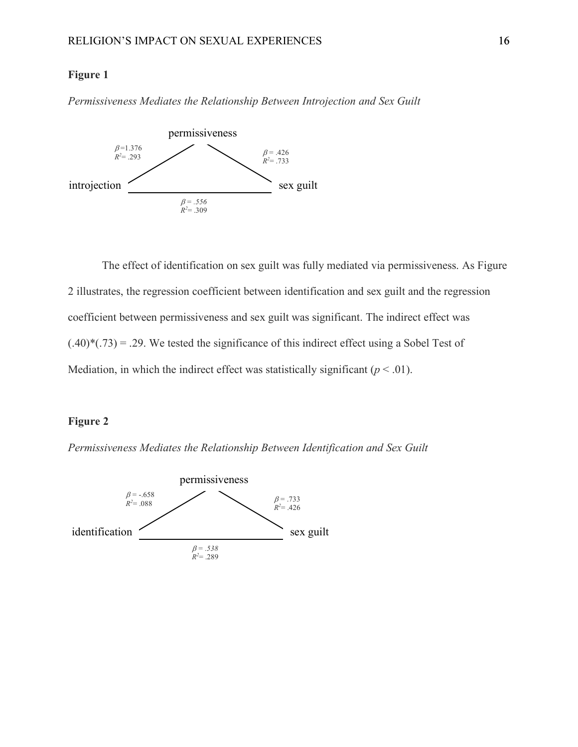#### **Figure 1**

*Permissiveness Mediates the Relationship Between Introjection and Sex Guilt*



The effect of identification on sex guilt was fully mediated via permissiveness. As Figure 2 illustrates, the regression coefficient between identification and sex guilt and the regression coefficient between permissiveness and sex guilt was significant. The indirect effect was  $(.40)^*(-73) = .29$ . We tested the significance of this indirect effect using a Sobel Test of Mediation, in which the indirect effect was statistically significant  $(p < .01)$ .

#### **Figure 2**

*Permissiveness Mediates the Relationship Between Identification and Sex Guilt*

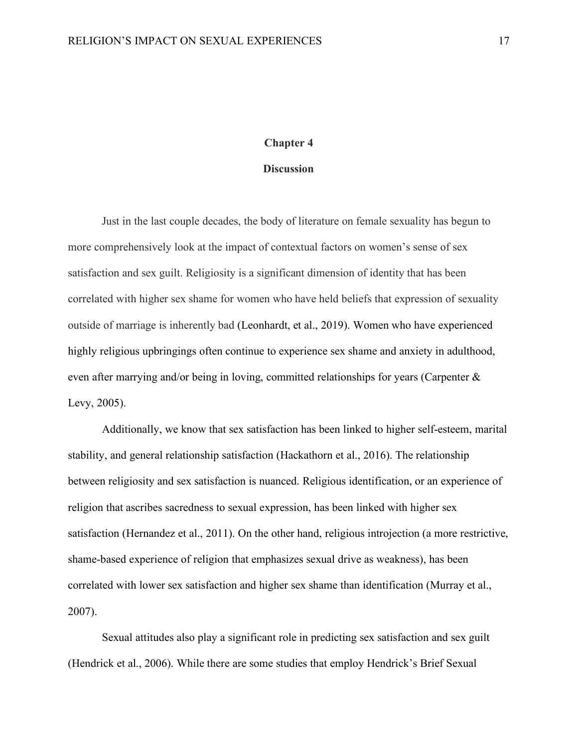#### **Chapter 4**

#### **Discussion**

Just in the last couple decades, the body of literature on female sexuality has begun to more comprehensively look at the impact of contextual factors on women's sense of sex satisfaction and sex guilt. Religiosity is a significant dimension of identity that has been correlated with higher sex shame for women who have held beliefs that expression of sexuality outside of marriage is inherently bad (Leonhardt, et al., 2019). Women who have experienced highly religious upbringings often continue to experience sex shame and anxiety in adulthood, even after marrying and/or being in loving, committed relationships for years (Carpenter & Levy, 2005).

Additionally, we know that sex satisfaction has been linked to higher self-esteem, marital stability, and general relationship satisfaction (Hackathorn et al., 2016). The relationship between religiosity and sex satisfaction is nuanced. Religious identification, or an experience of religion that ascribes sacredness to sexual expression, has been linked with higher sex satisfaction (Hernandez et al., 2011). On the other hand, religious introjection (a more restrictive, shame-based experience of religion that emphasizes sexual drive as weakness), has been correlated with lower sex satisfaction and higher sex shame than identification (Murray et al., 2007).

Sexual attitudes also play a significant role in predicting sex satisfaction and sex guilt (Hendrick et al., 2006). While there are some studies that employ Hendrick's Brief Sexual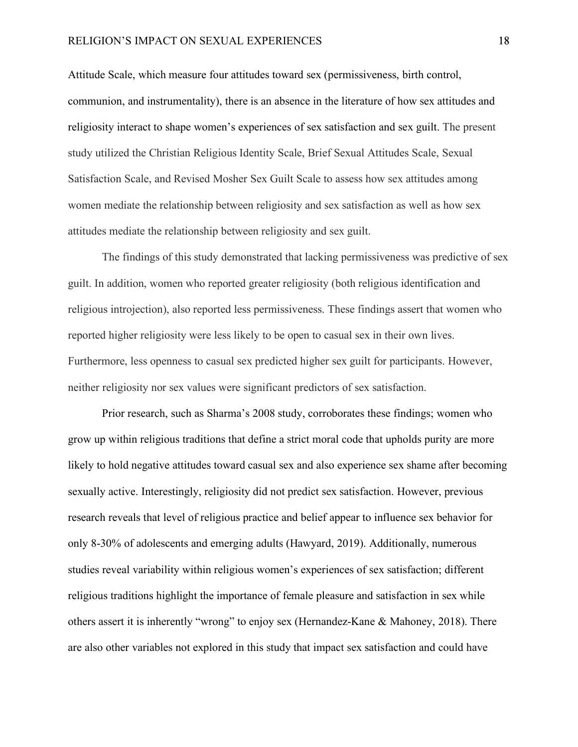Attitude Scale, which measure four attitudes toward sex (permissiveness, birth control, communion, and instrumentality), there is an absence in the literature of how sex attitudes and religiosity interact to shape women's experiences of sex satisfaction and sex guilt. The present study utilized the Christian Religious Identity Scale, Brief Sexual Attitudes Scale, Sexual Satisfaction Scale, and Revised Mosher Sex Guilt Scale to assess how sex attitudes among women mediate the relationship between religiosity and sex satisfaction as well as how sex attitudes mediate the relationship between religiosity and sex guilt.

The findings of this study demonstrated that lacking permissiveness was predictive of sex guilt. In addition, women who reported greater religiosity (both religious identification and religious introjection), also reported less permissiveness. These findings assert that women who reported higher religiosity were less likely to be open to casual sex in their own lives. Furthermore, less openness to casual sex predicted higher sex guilt for participants. However, neither religiosity nor sex values were significant predictors of sex satisfaction.

Prior research, such as Sharma's 2008 study, corroborates these findings; women who grow up within religious traditions that define a strict moral code that upholds purity are more likely to hold negative attitudes toward casual sex and also experience sex shame after becoming sexually active. Interestingly, religiosity did not predict sex satisfaction. However, previous research reveals that level of religious practice and belief appear to influence sex behavior for only 8-30% of adolescents and emerging adults (Hawyard, 2019). Additionally, numerous studies reveal variability within religious women's experiences of sex satisfaction; different religious traditions highlight the importance of female pleasure and satisfaction in sex while others assert it is inherently "wrong" to enjoy sex (Hernandez-Kane & Mahoney, 2018). There are also other variables not explored in this study that impact sex satisfaction and could have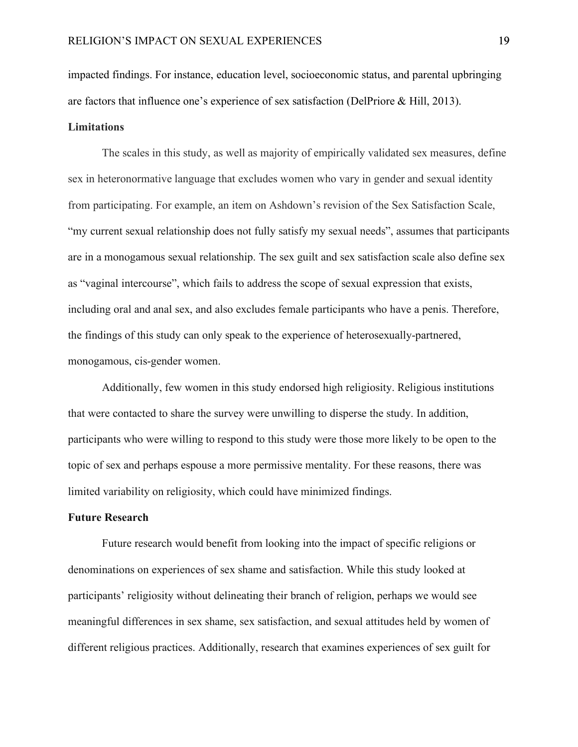impacted findings. For instance, education level, socioeconomic status, and parental upbringing are factors that influence one's experience of sex satisfaction (DelPriore & Hill, 2013).

#### **Limitations**

The scales in this study, as well as majority of empirically validated sex measures, define sex in heteronormative language that excludes women who vary in gender and sexual identity from participating. For example, an item on Ashdown's revision of the Sex Satisfaction Scale, "my current sexual relationship does not fully satisfy my sexual needs", assumes that participants are in a monogamous sexual relationship. The sex guilt and sex satisfaction scale also define sex as "vaginal intercourse", which fails to address the scope of sexual expression that exists, including oral and anal sex, and also excludes female participants who have a penis. Therefore, the findings of this study can only speak to the experience of heterosexually-partnered, monogamous, cis-gender women.

Additionally, few women in this study endorsed high religiosity. Religious institutions that were contacted to share the survey were unwilling to disperse the study. In addition, participants who were willing to respond to this study were those more likely to be open to the topic of sex and perhaps espouse a more permissive mentality. For these reasons, there was limited variability on religiosity, which could have minimized findings.

#### **Future Research**

Future research would benefit from looking into the impact of specific religions or denominations on experiences of sex shame and satisfaction. While this study looked at participants' religiosity without delineating their branch of religion, perhaps we would see meaningful differences in sex shame, sex satisfaction, and sexual attitudes held by women of different religious practices. Additionally, research that examines experiences of sex guilt for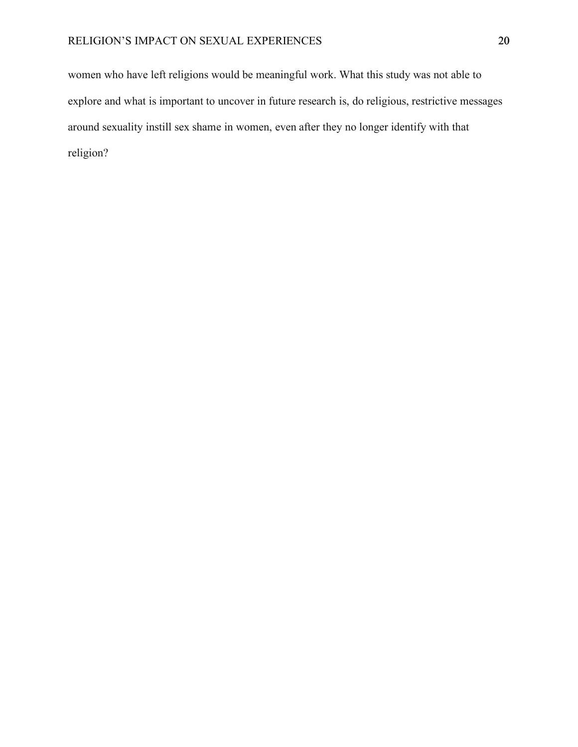women who have left religions would be meaningful work. What this study was not able to explore and what is important to uncover in future research is, do religious, restrictive messages around sexuality instill sex shame in women, even after they no longer identify with that religion?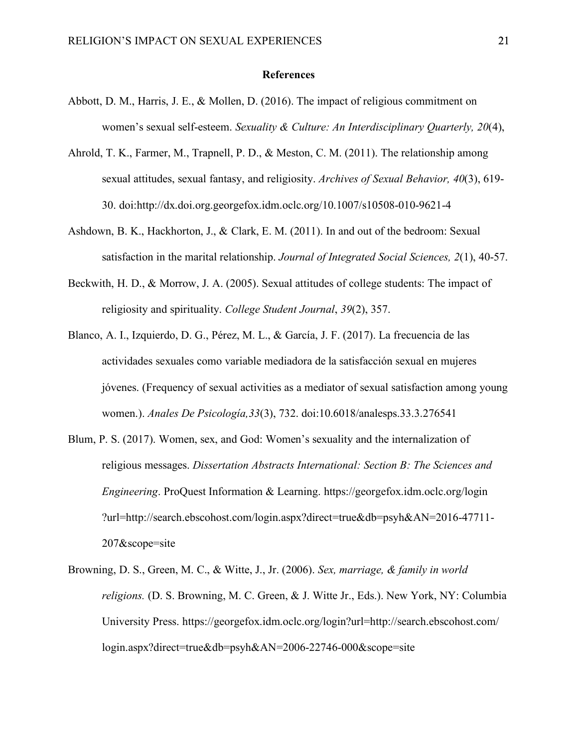#### **References**

- Abbott, D. M., Harris, J. E., & Mollen, D. (2016). The impact of religious commitment on women's sexual self-esteem. *Sexuality & Culture: An Interdisciplinary Quarterly, 20*(4),
- Ahrold, T. K., Farmer, M., Trapnell, P. D., & Meston, C. M. (2011). The relationship among sexual attitudes, sexual fantasy, and religiosity. *Archives of Sexual Behavior, 40*(3), 619- 30. doi:http://dx.doi.org.georgefox.idm.oclc.org/10.1007/s10508-010-9621-4
- Ashdown, B. K., Hackhorton, J., & Clark, E. M. (2011). In and out of the bedroom: Sexual satisfaction in the marital relationship. *Journal of Integrated Social Sciences, 2*(1), 40-57.
- Beckwith, H. D., & Morrow, J. A. (2005). Sexual attitudes of college students: The impact of religiosity and spirituality. *College Student Journal*, *39*(2), 357.
- Blanco, A. I., Izquierdo, D. G., Pérez, M. L., & García, J. F. (2017). La frecuencia de las actividades sexuales como variable mediadora de la satisfacción sexual en mujeres jóvenes. (Frequency of sexual activities as a mediator of sexual satisfaction among young women.). *Anales De Psicología,33*(3), 732. doi:10.6018/analesps.33.3.276541
- Blum, P. S. (2017). Women, sex, and God: Women's sexuality and the internalization of religious messages. *Dissertation Abstracts International: Section B: The Sciences and Engineering*. ProQuest Information & Learning. https://georgefox.idm.oclc.org/login ?url=http://search.ebscohost.com/login.aspx?direct=true&db=psyh&AN=2016-47711- 207&scope=site
- Browning, D. S., Green, M. C., & Witte, J., Jr. (2006). *Sex, marriage, & family in world religions.* (D. S. Browning, M. C. Green, & J. Witte Jr., Eds.). New York, NY: Columbia University Press. https://georgefox.idm.oclc.org/login?url=http://search.ebscohost.com/ login.aspx?direct=true&db=psyh&AN=2006-22746-000&scope=site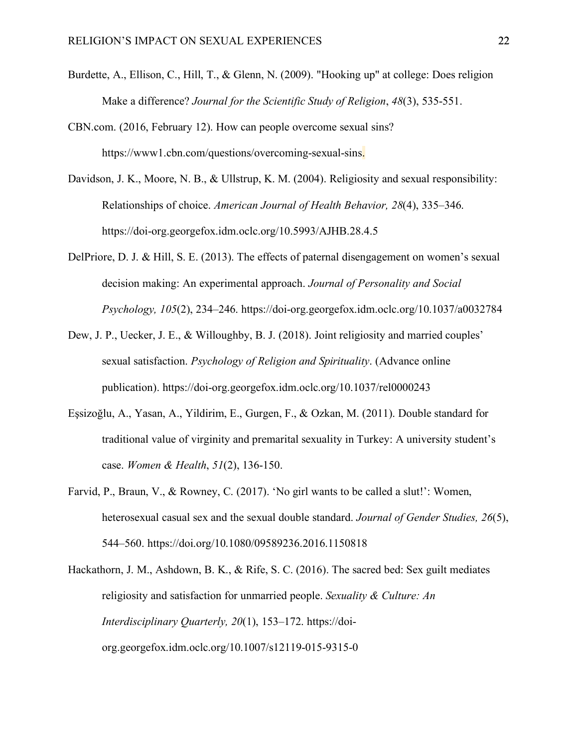- Burdette, A., Ellison, C., Hill, T., & Glenn, N. (2009). "Hooking up" at college: Does religion Make a difference? *Journal for the Scientific Study of Religion*, *48*(3), 535-551.
- CBN.com. (2016, February 12). How can people overcome sexual sins? https://www1.cbn.com/questions/overcoming-sexual-sins.
- Davidson, J. K., Moore, N. B., & Ullstrup, K. M. (2004). Religiosity and sexual responsibility: Relationships of choice. *American Journal of Health Behavior, 28*(4), 335–346. https://doi-org.georgefox.idm.oclc.org/10.5993/AJHB.28.4.5
- DelPriore, D. J. & Hill, S. E. (2013). The effects of paternal disengagement on women's sexual decision making: An experimental approach. *Journal of Personality and Social Psychology, 105*(2), 234–246. https://doi-org.georgefox.idm.oclc.org/10.1037/a0032784
- Dew, J. P., Uecker, J. E., & Willoughby, B. J. (2018). Joint religiosity and married couples' sexual satisfaction. *Psychology of Religion and Spirituality*. (Advance online publication). https://doi-org.georgefox.idm.oclc.org/10.1037/rel0000243
- Eşsizoğlu, A., Yasan, A., Yildirim, E., Gurgen, F., & Ozkan, M. (2011). Double standard for traditional value of virginity and premarital sexuality in Turkey: A university student's case. *Women & Health*, *51*(2), 136-150.
- Farvid, P., Braun, V., & Rowney, C. (2017). 'No girl wants to be called a slut!': Women, heterosexual casual sex and the sexual double standard. *Journal of Gender Studies, 26*(5), 544–560. https://doi.org/10.1080/09589236.2016.1150818
- Hackathorn, J. M., Ashdown, B. K., & Rife, S. C. (2016). The sacred bed: Sex guilt mediates religiosity and satisfaction for unmarried people. *Sexuality & Culture: An Interdisciplinary Quarterly, 20*(1), 153–172. https://doiorg.georgefox.idm.oclc.org/10.1007/s12119-015-9315-0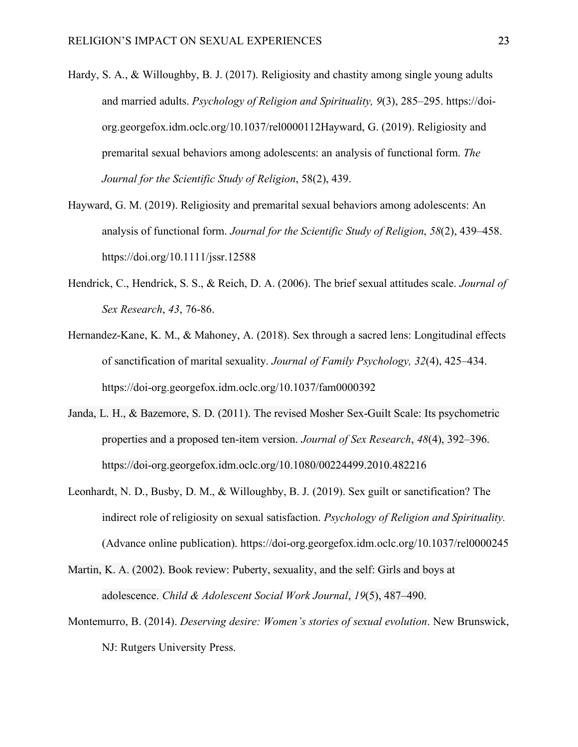- Hardy, S. A., & Willoughby, B. J. (2017). Religiosity and chastity among single young adults and married adults. *Psychology of Religion and Spirituality, 9*(3), 285–295. https://doiorg.georgefox.idm.oclc.org/10.1037/rel0000112Hayward, G. (2019). Religiosity and premarital sexual behaviors among adolescents: an analysis of functional form. *The Journal for the Scientific Study of Religion*, 58(2), 439.
- Hayward, G. M. (2019). Religiosity and premarital sexual behaviors among adolescents: An analysis of functional form. *Journal for the Scientific Study of Religion*, *58*(2), 439–458. https://doi.org/10.1111/jssr.12588
- Hendrick, C., Hendrick, S. S., & Reich, D. A. (2006). The brief sexual attitudes scale. *Journal of Sex Research*, *43*, 76-86.
- Hernandez-Kane, K. M., & Mahoney, A. (2018). Sex through a sacred lens: Longitudinal effects of sanctification of marital sexuality. *Journal of Family Psychology, 32*(4), 425–434. https://doi-org.georgefox.idm.oclc.org/10.1037/fam0000392
- Janda, L. H., & Bazemore, S. D. (2011). The revised Mosher Sex-Guilt Scale: Its psychometric properties and a proposed ten-item version. *Journal of Sex Research*, *48*(4), 392–396. https://doi-org.georgefox.idm.oclc.org/10.1080/00224499.2010.482216
- Leonhardt, N. D., Busby, D. M., & Willoughby, B. J. (2019). Sex guilt or sanctification? The indirect role of religiosity on sexual satisfaction. *Psychology of Religion and Spirituality.* (Advance online publication). https://doi-org.georgefox.idm.oclc.org/10.1037/rel0000245
- Martin, K. A. (2002). Book review: Puberty, sexuality, and the self: Girls and boys at adolescence. *Child & Adolescent Social Work Journal*, *19*(5), 487–490.
- Montemurro, B. (2014). *Deserving desire: Women's stories of sexual evolution*. New Brunswick, NJ: Rutgers University Press.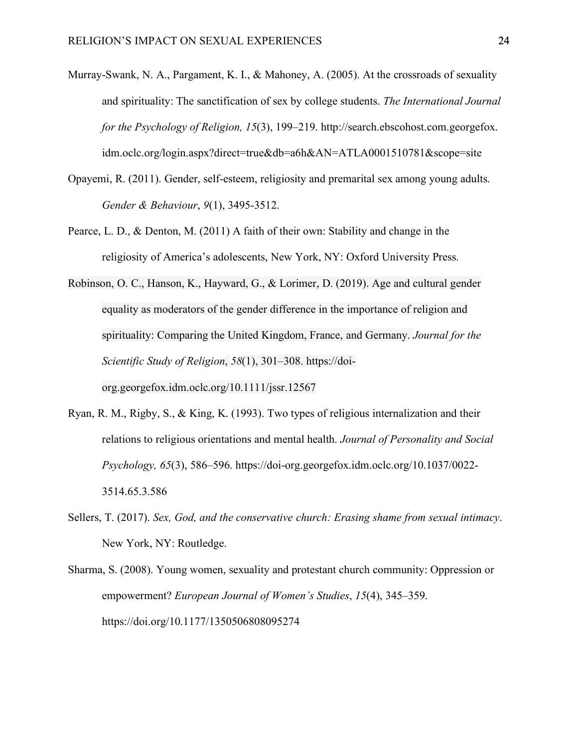- Murray-Swank, N. A., Pargament, K. I., & Mahoney, A. (2005). At the crossroads of sexuality and spirituality: The sanctification of sex by college students. *The International Journal for the Psychology of Religion, 15*(3), 199–219. http://search.ebscohost.com.georgefox. idm.oclc.org/login.aspx?direct=true&db=a6h&AN=ATLA0001510781&scope=site
- Opayemi, R. (2011). Gender, self-esteem, religiosity and premarital sex among young adults. *Gender & Behaviour*, *9*(1), 3495-3512.
- Pearce, L. D., & Denton, M. (2011) A faith of their own: Stability and change in the religiosity of America's adolescents, New York, NY: Oxford University Press.
- Robinson, O. C., Hanson, K., Hayward, G., & Lorimer, D. (2019). Age and cultural gender equality as moderators of the gender difference in the importance of religion and spirituality: Comparing the United Kingdom, France, and Germany. *Journal for the Scientific Study of Religion*, *58*(1), 301–308. https://doiorg.georgefox.idm.oclc.org/10.1111/jssr.12567
- Ryan, R. M., Rigby, S., & King, K. (1993). Two types of religious internalization and their relations to religious orientations and mental health. *Journal of Personality and Social Psychology, 65*(3), 586–596. https://doi-org.georgefox.idm.oclc.org/10.1037/0022- 3514.65.3.586
- Sellers, T. (2017). *Sex, God, and the conservative church: Erasing shame from sexual intimacy*. New York, NY: Routledge.
- Sharma, S. (2008). Young women, sexuality and protestant church community: Oppression or empowerment? *European Journal of Women's Studies*, *15*(4), 345–359. https://doi.org/10.1177/1350506808095274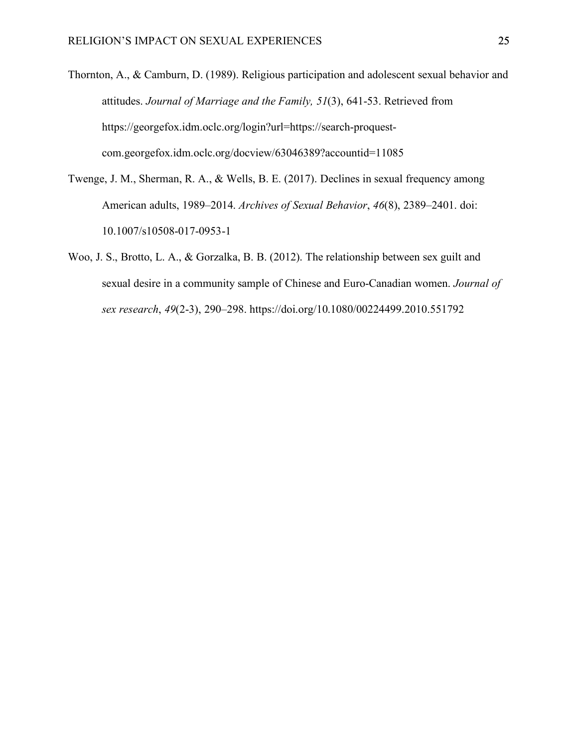- Thornton, A., & Camburn, D. (1989). Religious participation and adolescent sexual behavior and attitudes. *Journal of Marriage and the Family, 51*(3), 641-53. Retrieved from https://georgefox.idm.oclc.org/login?url=https://search-proquestcom.georgefox.idm.oclc.org/docview/63046389?accountid=11085
- Twenge, J. M., Sherman, R. A., & Wells, B. E. (2017). Declines in sexual frequency among American adults, 1989–2014. *Archives of Sexual Behavior*, *46*(8), 2389–2401. doi: 10.1007/s10508-017-0953-1
- Woo, J. S., Brotto, L. A., & Gorzalka, B. B. (2012). The relationship between sex guilt and sexual desire in a community sample of Chinese and Euro-Canadian women. *Journal of sex research*, *49*(2-3), 290–298. https://doi.org/10.1080/00224499.2010.551792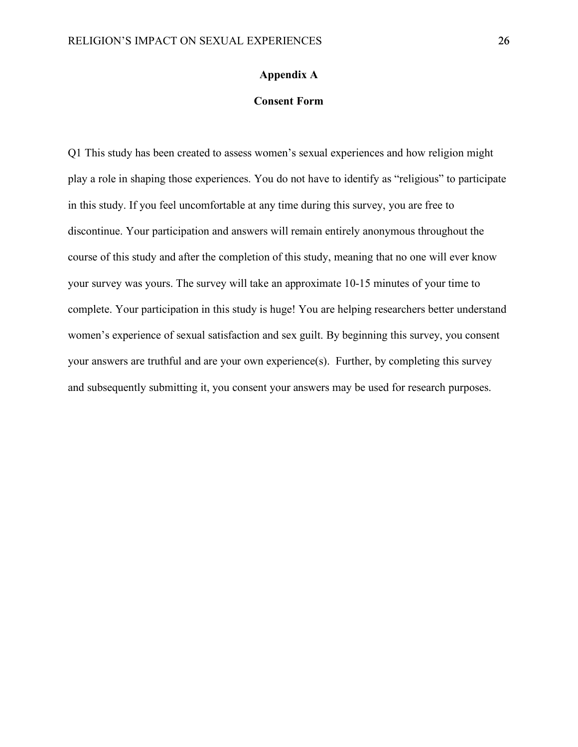#### **Appendix A**

#### **Consent Form**

Q1 This study has been created to assess women's sexual experiences and how religion might play a role in shaping those experiences. You do not have to identify as "religious" to participate in this study. If you feel uncomfortable at any time during this survey, you are free to discontinue. Your participation and answers will remain entirely anonymous throughout the course of this study and after the completion of this study, meaning that no one will ever know your survey was yours. The survey will take an approximate 10-15 minutes of your time to complete. Your participation in this study is huge! You are helping researchers better understand women's experience of sexual satisfaction and sex guilt. By beginning this survey, you consent your answers are truthful and are your own experience(s). Further, by completing this survey and subsequently submitting it, you consent your answers may be used for research purposes.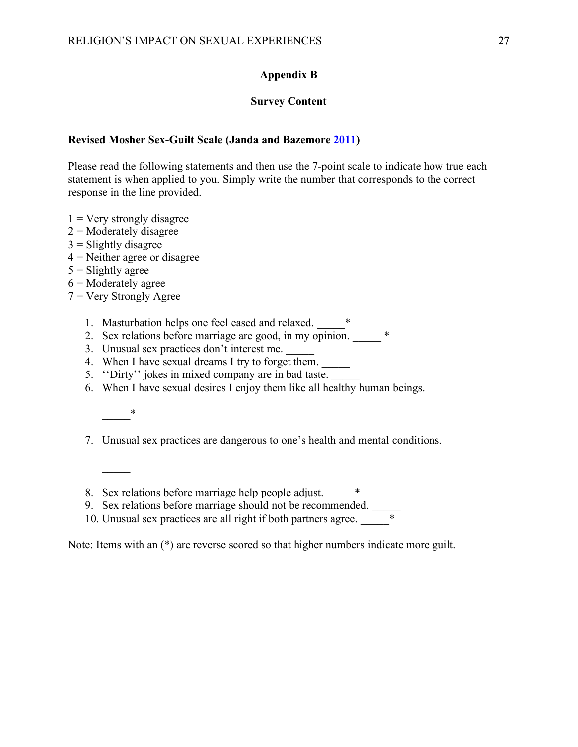#### **Appendix B**

#### **Survey Content**

#### **Revised Mosher Sex-Guilt Scale (Janda and Bazemore 2011)**

Please read the following statements and then use the 7-point scale to indicate how true each statement is when applied to you. Simply write the number that corresponds to the correct response in the line provided.

- $1 =$  Very strongly disagree
- $2$  = Moderately disagree
- $3$  = Slightly disagree
- $4$  = Neither agree or disagree
- $5 =$ Slightly agree
- $6$  = Moderately agree
- $7 =$  Very Strongly Agree
	- 1. Masturbation helps one feel eased and relaxed.  $*$
	- 2. Sex relations before marriage are good, in my opinion.  $*$
	- 3. Unusual sex practices don't interest me.
	- 4. When I have sexual dreams I try to forget them.
	- 5. "Dirty" jokes in mixed company are in bad taste.
	- 6. When I have sexual desires I enjoy them like all healthy human beings.
		- $*$

 $\mathcal{L}$ 

- 7. Unusual sex practices are dangerous to one's health and mental conditions.
- 8. Sex relations before marriage help people adjust.  $*$
- 9. Sex relations before marriage should not be recommended.
- 10. Unusual sex practices are all right if both partners agree.  $\overline{\phantom{a}}^*$

Note: Items with an (\*) are reverse scored so that higher numbers indicate more guilt.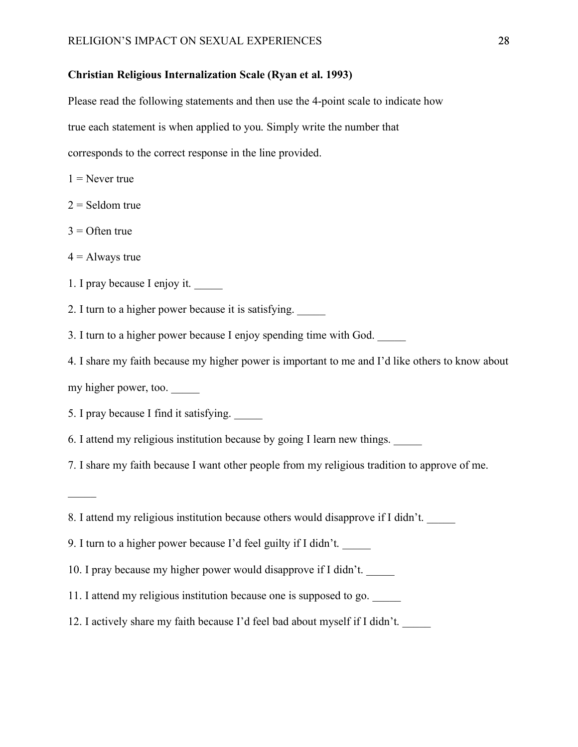#### **Christian Religious Internalization Scale (Ryan et al. 1993)**

Please read the following statements and then use the 4-point scale to indicate how true each statement is when applied to you. Simply write the number that corresponds to the correct response in the line provided.

 $1$  = Never true

 $2 =$  Seldom true

 $3 =$  Often true

 $4 =$  Always true

 $\mathcal{L}$ 

1. I pray because I enjoy it.

2. I turn to a higher power because it is satisfying.

3. I turn to a higher power because I enjoy spending time with God.

4. I share my faith because my higher power is important to me and I'd like others to know about my higher power, too.  $\_\_$ 

5. I pray because I find it satisfying.

6. I attend my religious institution because by going I learn new things. \_\_\_\_\_

7. I share my faith because I want other people from my religious tradition to approve of me.

8. I attend my religious institution because others would disapprove if I didn't.

9. I turn to a higher power because I'd feel guilty if I didn't. \_\_\_\_\_

10. I pray because my higher power would disapprove if I didn't.

11. I attend my religious institution because one is supposed to go.

12. I actively share my faith because I'd feel bad about myself if I didn't. \_\_\_\_\_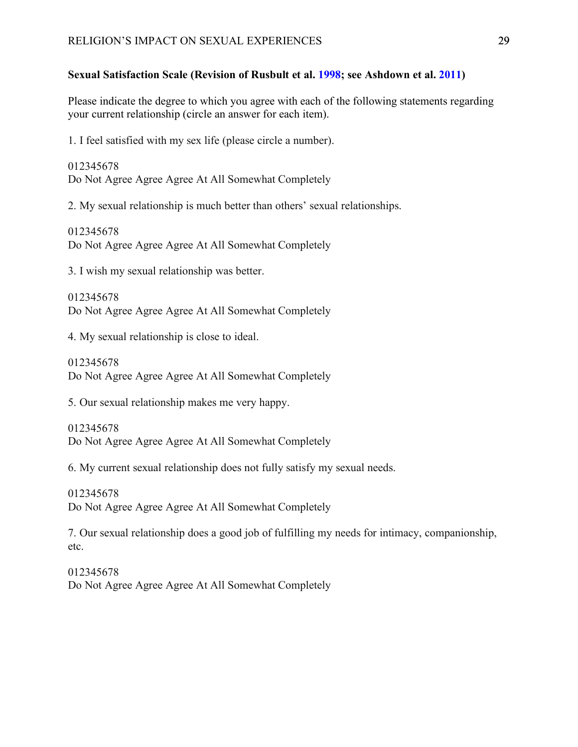#### **Sexual Satisfaction Scale (Revision of Rusbult et al. 1998; see Ashdown et al. 2011)**

Please indicate the degree to which you agree with each of the following statements regarding your current relationship (circle an answer for each item).

1. I feel satisfied with my sex life (please circle a number).

012345678 Do Not Agree Agree Agree At All Somewhat Completely

2. My sexual relationship is much better than others' sexual relationships.

012345678 Do Not Agree Agree Agree At All Somewhat Completely

3. I wish my sexual relationship was better.

012345678 Do Not Agree Agree Agree At All Somewhat Completely

4. My sexual relationship is close to ideal.

012345678 Do Not Agree Agree Agree At All Somewhat Completely

5. Our sexual relationship makes me very happy.

012345678 Do Not Agree Agree Agree At All Somewhat Completely

6. My current sexual relationship does not fully satisfy my sexual needs.

012345678 Do Not Agree Agree Agree At All Somewhat Completely

7. Our sexual relationship does a good job of fulfilling my needs for intimacy, companionship, etc.

012345678 Do Not Agree Agree Agree At All Somewhat Completely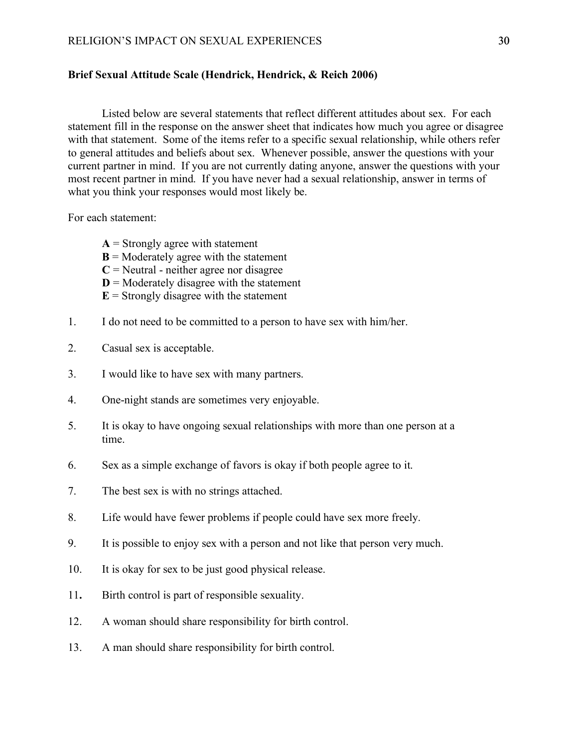#### **Brief Sexual Attitude Scale (Hendrick, Hendrick, & Reich 2006)**

Listed below are several statements that reflect different attitudes about sex. For each statement fill in the response on the answer sheet that indicates how much you agree or disagree with that statement. Some of the items refer to a specific sexual relationship, while others refer to general attitudes and beliefs about sex. Whenever possible, answer the questions with your current partner in mind. If you are not currently dating anyone, answer the questions with your most recent partner in mind. If you have never had a sexual relationship, answer in terms of what you think your responses would most likely be.

For each statement:

- $A =$  Strongly agree with statement
- **= Moderately agree with the statement**
- $C$  = Neutral neither agree nor disagree
- $D =$ Moderately disagree with the statement
- $E =$  Strongly disagree with the statement
- 1. I do not need to be committed to a person to have sex with him/her.
- 2. Casual sex is acceptable.
- 3. I would like to have sex with many partners.
- 4. One-night stands are sometimes very enjoyable.
- 5. It is okay to have ongoing sexual relationships with more than one person at a time.
- 6. Sex as a simple exchange of favors is okay if both people agree to it.
- 7. The best sex is with no strings attached.
- 8. Life would have fewer problems if people could have sex more freely.
- 9. It is possible to enjoy sex with a person and not like that person very much.
- 10. It is okay for sex to be just good physical release.
- 11**.** Birth control is part of responsible sexuality.
- 12. A woman should share responsibility for birth control.
- 13. A man should share responsibility for birth control.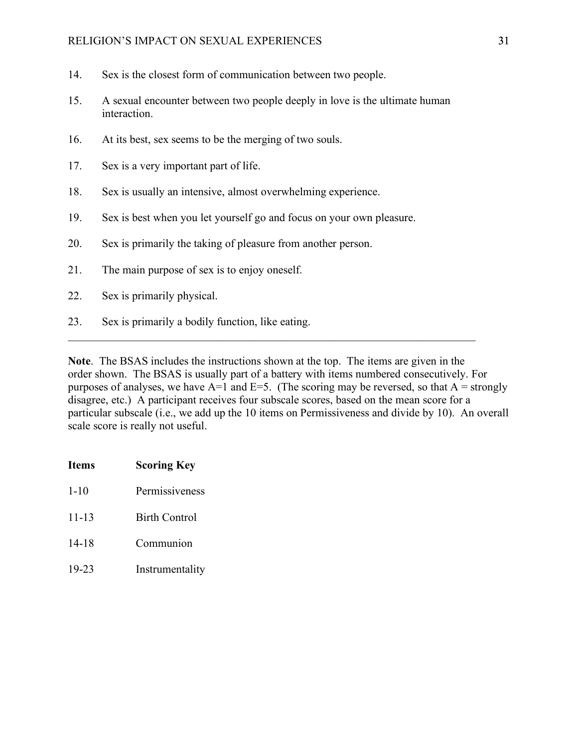#### RELIGION'S IMPACT ON SEXUAL EXPERIENCES 31

- 14. Sex is the closest form of communication between two people.
- 15. A sexual encounter between two people deeply in love is the ultimate human interaction.
- 16. At its best, sex seems to be the merging of two souls.
- 17. Sex is a very important part of life.
- 18. Sex is usually an intensive, almost overwhelming experience.
- 19. Sex is best when you let yourself go and focus on your own pleasure.
- 20. Sex is primarily the taking of pleasure from another person.
- 21. The main purpose of sex is to enjoy oneself.
- 22. Sex is primarily physical.
- 23. Sex is primarily a bodily function, like eating.

**Note**. The BSAS includes the instructions shown at the top. The items are given in the order shown. The BSAS is usually part of a battery with items numbered consecutively. For purposes of analyses, we have  $A=1$  and  $E=5$ . (The scoring may be reversed, so that  $A =$  strongly disagree, etc.) A participant receives four subscale scores, based on the mean score for a particular subscale (i.e., we add up the 10 items on Permissiveness and divide by 10). An overall scale score is really not useful.

 $\mathcal{L}_\text{max} = \mathcal{L}_\text{max} = \mathcal{L}_\text{max} = \mathcal{L}_\text{max} = \mathcal{L}_\text{max} = \mathcal{L}_\text{max} = \mathcal{L}_\text{max} = \mathcal{L}_\text{max} = \mathcal{L}_\text{max} = \mathcal{L}_\text{max} = \mathcal{L}_\text{max} = \mathcal{L}_\text{max} = \mathcal{L}_\text{max} = \mathcal{L}_\text{max} = \mathcal{L}_\text{max} = \mathcal{L}_\text{max} = \mathcal{L}_\text{max} = \mathcal{L}_\text{max} = \mathcal{$ 

- **Items Scoring Key**
- 1-10 Permissiveness
- 11-13 Birth Control
- 14-18 Communion
- 19-23 Instrumentality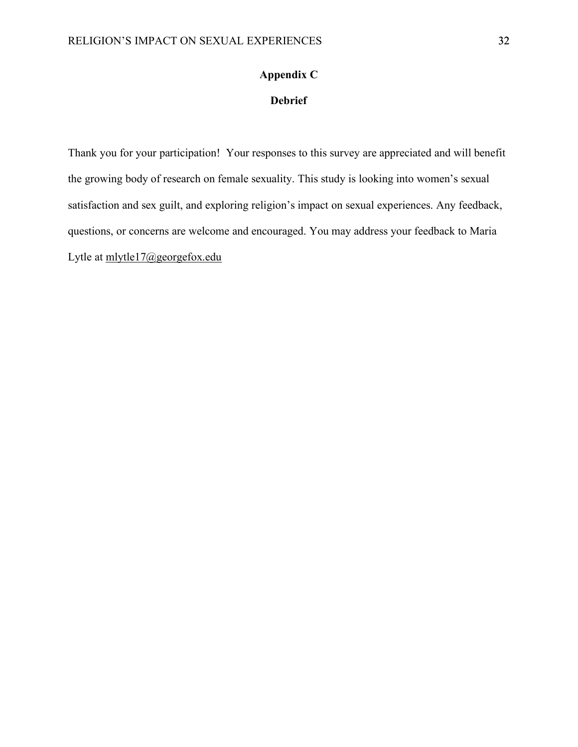#### **Appendix C**

#### **Debrief**

Thank you for your participation! Your responses to this survey are appreciated and will benefit the growing body of research on female sexuality. This study is looking into women's sexual satisfaction and sex guilt, and exploring religion's impact on sexual experiences. Any feedback, questions, or concerns are welcome and encouraged. You may address your feedback to Maria Lytle at mlytle17@georgefox.edu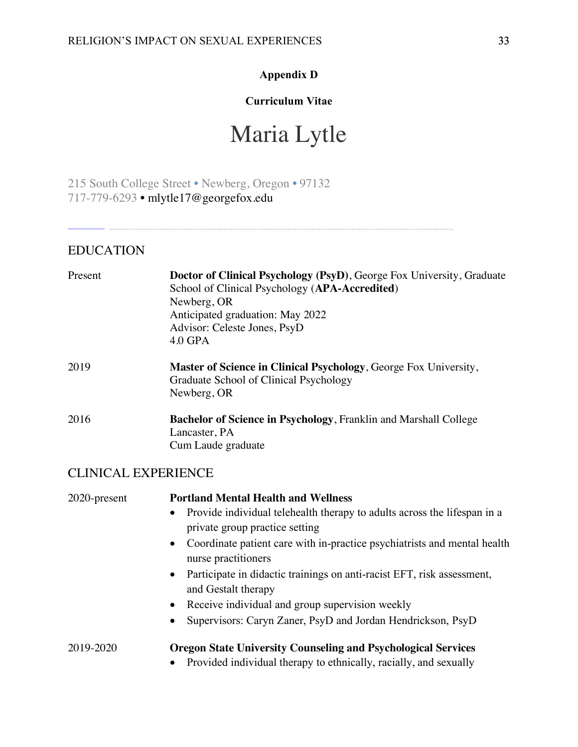#### **Appendix D**

### **Curriculum Vitae**

# Maria Lytle

215 South College Street • Newberg, Oregon • 97132 717-779-6293 • mlytle17@georgefox.edu

#### EDUCATION

| Present | Doctor of Clinical Psychology (PsyD), George Fox University, Graduate<br>School of Clinical Psychology (APA-Accredited)<br>Newberg, OR<br>Anticipated graduation: May 2022<br>Advisor: Celeste Jones, PsyD<br>4.0 GPA |
|---------|-----------------------------------------------------------------------------------------------------------------------------------------------------------------------------------------------------------------------|
| 2019    | Master of Science in Clinical Psychology, George Fox University,<br>Graduate School of Clinical Psychology<br>Newberg, OR                                                                                             |
| 2016    | <b>Bachelor of Science in Psychology, Franklin and Marshall College</b><br>Lancaster, PA<br>Cum Laude graduate                                                                                                        |

#### CLINICAL EXPERIENCE

| 2020-present | <b>Portland Mental Health and Wellness</b>                                                        |
|--------------|---------------------------------------------------------------------------------------------------|
|              | Provide individual telehealth therapy to adults across the lifespan in a<br>$\bullet$             |
|              | private group practice setting                                                                    |
|              | • Coordinate patient care with in-practice psychiatrists and mental health<br>nurse practitioners |
|              | Participate in didactic trainings on anti-racist EFT, risk assessment,<br>$\bullet$               |
|              | and Gestalt therapy                                                                               |
|              | • Receive individual and group supervision weekly                                                 |
|              | Supervisors: Caryn Zaner, PsyD and Jordan Hendrickson, PsyD<br>$\bullet$                          |
| 2019-2020    | <b>Oregon State University Counseling and Psychological Services</b>                              |
|              | Provided individual therapy to ethnically, racially, and sexually<br>$\bullet$                    |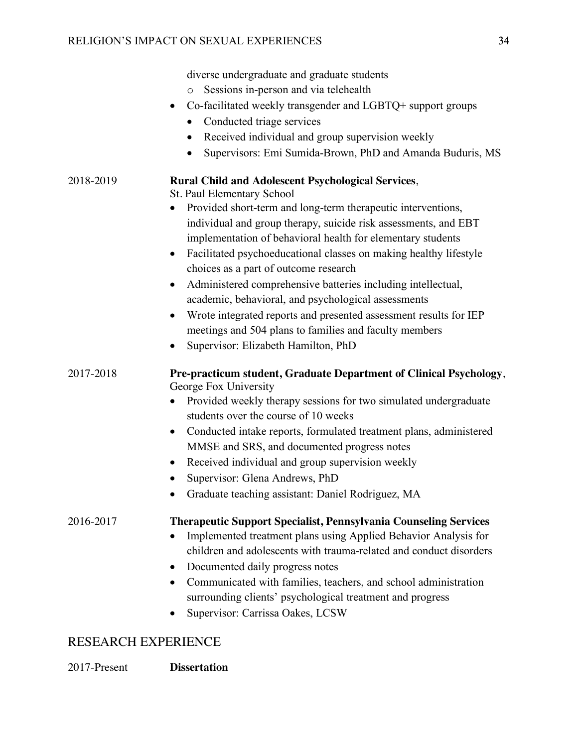|           | diverse undergraduate and graduate students                                     |
|-----------|---------------------------------------------------------------------------------|
|           | Sessions in-person and via telehealth<br>$\circ$                                |
|           | Co-facilitated weekly transgender and LGBTQ+ support groups<br>$\bullet$        |
|           | Conducted triage services                                                       |
|           | Received individual and group supervision weekly                                |
|           | Supervisors: Emi Sumida-Brown, PhD and Amanda Buduris, MS                       |
| 2018-2019 | <b>Rural Child and Adolescent Psychological Services,</b>                       |
|           | St. Paul Elementary School                                                      |
|           | Provided short-term and long-term therapeutic interventions,                    |
|           | individual and group therapy, suicide risk assessments, and EBT                 |
|           | implementation of behavioral health for elementary students                     |
|           | Facilitated psychoeducational classes on making healthy lifestyle               |
|           | choices as a part of outcome research                                           |
|           | Administered comprehensive batteries including intellectual,                    |
|           | academic, behavioral, and psychological assessments                             |
|           | Wrote integrated reports and presented assessment results for IEP<br>۰          |
|           | meetings and 504 plans to families and faculty members                          |
|           | Supervisor: Elizabeth Hamilton, PhD                                             |
| 2017-2018 | Pre-practicum student, Graduate Department of Clinical Psychology,              |
|           | George Fox University                                                           |
|           | Provided weekly therapy sessions for two simulated undergraduate                |
|           | students over the course of 10 weeks                                            |
|           | Conducted intake reports, formulated treatment plans, administered<br>$\bullet$ |
|           | MMSE and SRS, and documented progress notes                                     |
|           | Received individual and group supervision weekly<br>$\bullet$                   |
|           | Supervisor: Glena Andrews, PhD                                                  |
|           | Graduate teaching assistant: Daniel Rodriguez, MA                               |
| 2016-2017 | <b>Therapeutic Support Specialist, Pennsylvania Counseling Services</b>         |
|           | Implemented treatment plans using Applied Behavior Analysis for                 |
|           | children and adolescents with trauma-related and conduct disorders              |
|           | Documented daily progress notes                                                 |
|           | Communicated with families, teachers, and school administration<br>$\bullet$    |
|           | surrounding clients' psychological treatment and progress                       |
|           | Supervisor: Carrissa Oakes, LCSW                                                |
|           |                                                                                 |

# RESEARCH EXPERIENCE

2017-Present **Dissertation**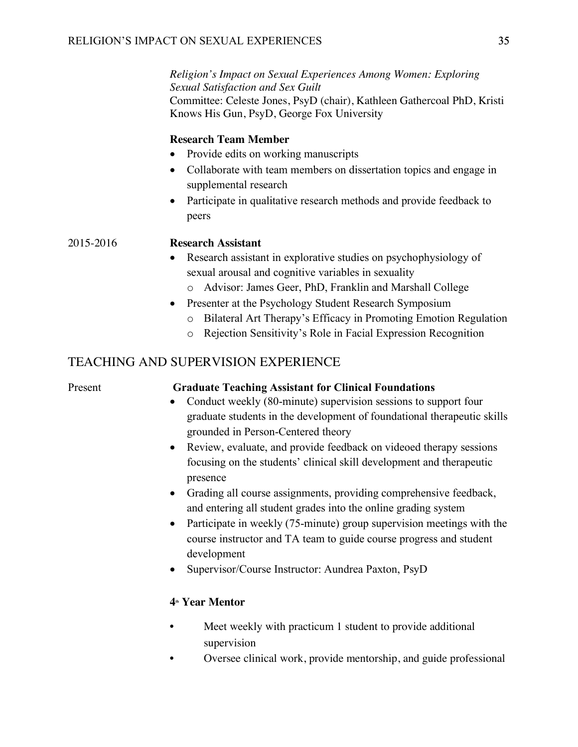*Religion's Impact on Sexual Experiences Among Women: Exploring Sexual Satisfaction and Sex Guilt* Committee: Celeste Jones, PsyD (chair), Kathleen Gathercoal PhD, Kristi Knows His Gun, PsyD, George Fox University

#### **Research Team Member**

- Provide edits on working manuscripts
- Collaborate with team members on dissertation topics and engage in supplemental research
- Participate in qualitative research methods and provide feedback to peers

#### 2015-2016 **Research Assistant**

- Research assistant in explorative studies on psychophysiology of sexual arousal and cognitive variables in sexuality
	- o Advisor: James Geer, PhD, Franklin and Marshall College
- Presenter at the Psychology Student Research Symposium
	- o Bilateral Art Therapy's Efficacy in Promoting Emotion Regulation
	- o Rejection Sensitivity's Role in Facial Expression Recognition

#### TEACHING AND SUPERVISION EXPERIENCE

#### Present **Graduate Teaching Assistant for Clinical Foundations**

- Conduct weekly (80-minute) supervision sessions to support four graduate students in the development of foundational therapeutic skills grounded in Person-Centered theory
- Review, evaluate, and provide feedback on videoed therapy sessions focusing on the students' clinical skill development and therapeutic presence
- Grading all course assignments, providing comprehensive feedback, and entering all student grades into the online grading system
- Participate in weekly (75-minute) group supervision meetings with the course instructor and TA team to guide course progress and student development
- Supervisor/Course Instructor: Aundrea Paxton, PsyD

#### **4th Year Mentor**

- Meet weekly with practicum 1 student to provide additional supervision
- Oversee clinical work, provide mentorship, and guide professional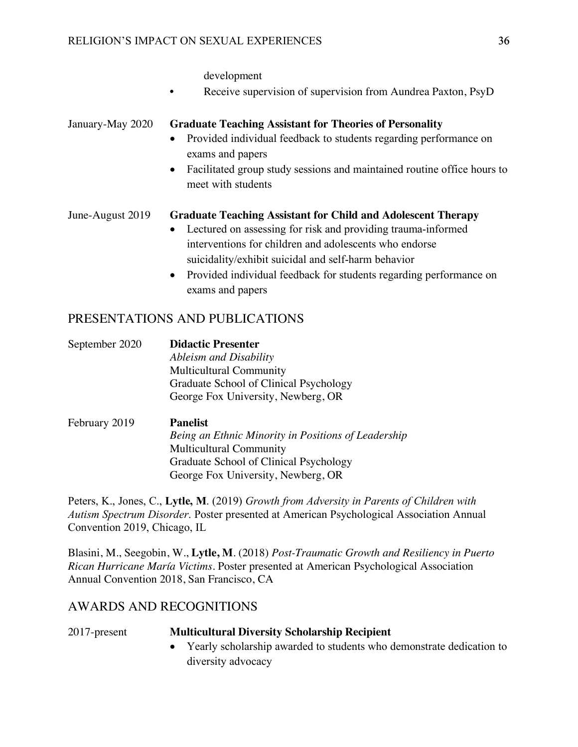development

Receive supervision of supervision from Aundrea Paxton, PsyD

#### January-May 2020 **Graduate Teaching Assistant for Theories of Personality**

- Provided individual feedback to students regarding performance on exams and papers
- Facilitated group study sessions and maintained routine office hours to meet with students

#### June-August 2019 **Graduate Teaching Assistant for Child and Adolescent Therapy**

- Lectured on assessing for risk and providing trauma-informed interventions for children and adolescents who endorse suicidality/exhibit suicidal and self-harm behavior
- Provided individual feedback for students regarding performance on exams and papers

#### PRESENTATIONS AND PUBLICATIONS

| September 2020                            | <b>Didactic Presenter</b>                   |
|-------------------------------------------|---------------------------------------------|
|                                           | Ableism and Disability                      |
|                                           | <b>Multicultural Community</b>              |
|                                           | Graduate School of Clinical Psychology      |
|                                           | George Fox University, Newberg, OR          |
| $E_{\alpha}$ $E_{\alpha}$ $\cdots$ $2010$ | $\mathbf{D}_{\alpha}$ $\mathbf{L}_{\alpha}$ |

February 2019 **Panelist** *Being an Ethnic Minority in Positions of Leadership* Multicultural Community Graduate School of Clinical Psychology George Fox University, Newberg, OR

Peters, K., Jones, C., **Lytle, M**. (2019) *Growth from Adversity in Parents of Children with Autism Spectrum Disorder*. Poster presented at American Psychological Association Annual Convention 2019, Chicago, IL

Blasini, M., Seegobin, W., **Lytle, M**. (2018) *Post-Traumatic Growth and Resiliency in Puerto Rican Hurricane María Victims*. Poster presented at American Psychological Association Annual Convention 2018, San Francisco, CA

#### AWARDS AND RECOGNITIONS

| 2017-present | <b>Multicultural Diversity Scholarship Recipient</b>              |  |
|--------------|-------------------------------------------------------------------|--|
|              | Yearly scholarship awarded to students who demonstrate dedication |  |

• Yearly scholarship awarded to students who demonstrate dedication to diversity advocacy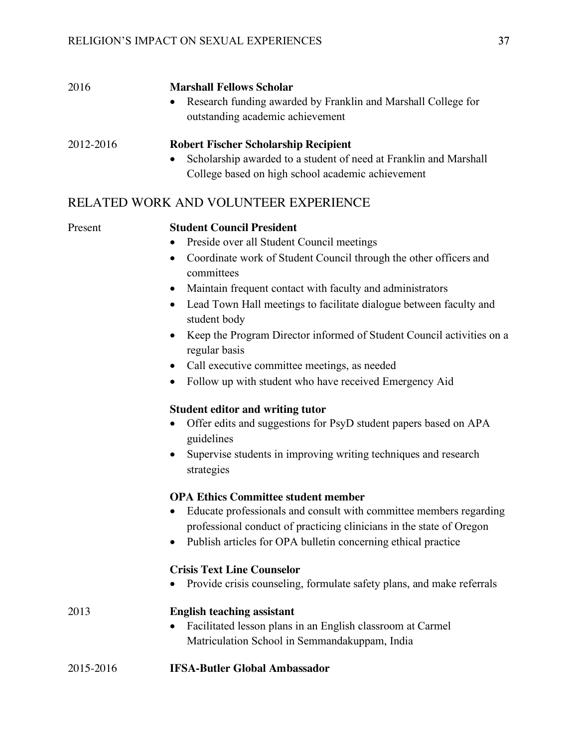| 2016      | <b>Marshall Fellows Scholar</b><br>Research funding awarded by Franklin and Marshall College for<br>$\bullet$<br>outstanding academic achievement                                  |
|-----------|------------------------------------------------------------------------------------------------------------------------------------------------------------------------------------|
| 2012-2016 | <b>Robert Fischer Scholarship Recipient</b><br>Scholarship awarded to a student of need at Franklin and Marshall<br>$\bullet$<br>College based on high school academic achievement |

#### RELATED WORK AND VOLUNTEER EXPERIENCE

#### Present **Student Council President**

- Preside over all Student Council meetings
- Coordinate work of Student Council through the other officers and committees
- Maintain frequent contact with faculty and administrators
- Lead Town Hall meetings to facilitate dialogue between faculty and student body
- Keep the Program Director informed of Student Council activities on a regular basis
- Call executive committee meetings, as needed
- Follow up with student who have received Emergency Aid

#### **Student editor and writing tutor**

- Offer edits and suggestions for PsyD student papers based on APA guidelines
- Supervise students in improving writing techniques and research strategies

#### **OPA Ethics Committee student member**

- Educate professionals and consult with committee members regarding professional conduct of practicing clinicians in the state of Oregon
- Publish articles for OPA bulletin concerning ethical practice

#### **Crisis Text Line Counselor**

• Provide crisis counseling, formulate safety plans, and make referrals

| 2013      | <b>English teaching assistant</b>                                                                              |
|-----------|----------------------------------------------------------------------------------------------------------------|
|           | • Facilitated lesson plans in an English classroom at Carmel<br>Matriculation School in Semmanda kuppam, India |
| 2015-2016 | <b>IFSA-Butler Global Ambassador</b>                                                                           |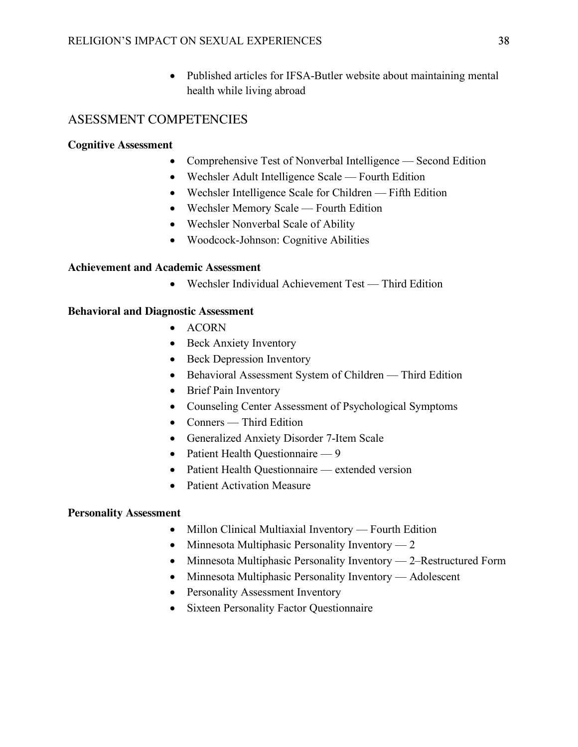• Published articles for IFSA-Butler website about maintaining mental health while living abroad

#### ASESSMENT COMPETENCIES

#### **Cognitive Assessment**

- Comprehensive Test of Nonverbal Intelligence Second Edition
- Wechsler Adult Intelligence Scale Fourth Edition
- Wechsler Intelligence Scale for Children Fifth Edition
- Wechsler Memory Scale Fourth Edition
- Wechsler Nonverbal Scale of Ability
- Woodcock-Johnson: Cognitive Abilities

#### **Achievement and Academic Assessment**

• Wechsler Individual Achievement Test — Third Edition

#### **Behavioral and Diagnostic Assessment**

- ACORN
- Beck Anxiety Inventory
- Beck Depression Inventory
- Behavioral Assessment System of Children Third Edition
- Brief Pain Inventory
- Counseling Center Assessment of Psychological Symptoms
- Conners Third Edition
- Generalized Anxiety Disorder 7-Item Scale
- Patient Health Questionnaire 9
- Patient Health Questionnaire extended version
- Patient Activation Measure

#### **Personality Assessment**

- Millon Clinical Multiaxial Inventory Fourth Edition
- Minnesota Multiphasic Personality Inventory 2
- Minnesota Multiphasic Personality Inventory 2–Restructured Form
- Minnesota Multiphasic Personality Inventory Adolescent
- Personality Assessment Inventory
- Sixteen Personality Factor Questionnaire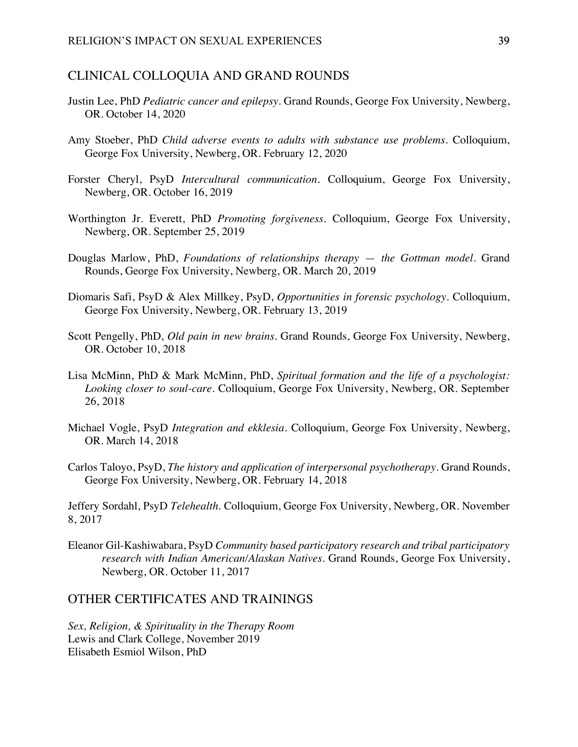#### CLINICAL COLLOQUIA AND GRAND ROUNDS

- Justin Lee, PhD *Pediatric cancer and epilepsy*. Grand Rounds, George Fox University, Newberg, OR. October 14, 2020
- Amy Stoeber, PhD *Child adverse events to adults with substance use problems.* Colloquium, George Fox University, Newberg, OR. February 12, 2020
- Forster Cheryl, PsyD *Intercultural communication.* Colloquium, George Fox University, Newberg, OR. October 16, 2019
- Worthington Jr. Everett, PhD *Promoting forgiveness.* Colloquium, George Fox University, Newberg, OR. September 25, 2019
- Douglas Marlow, PhD, *Foundations of relationships therapy the Gottman model.* Grand Rounds, George Fox University, Newberg, OR. March 20, 2019
- Diomaris Safi, PsyD & Alex Millkey, PsyD, *Opportunities in forensic psychology.* Colloquium, George Fox University, Newberg, OR. February 13, 2019
- Scott Pengelly, PhD, *Old pain in new brains.* Grand Rounds, George Fox University, Newberg, OR. October 10, 2018
- Lisa McMinn, PhD & Mark McMinn, PhD, *Spiritual formation and the life of a psychologist: Looking closer to soul-care.* Colloquium, George Fox University, Newberg, OR. September 26, 2018
- Michael Vogle, PsyD *Integration and ekklesia.* Colloquium, George Fox University, Newberg, OR. March 14, 2018
- Carlos Taloyo, PsyD, *The history and application of interpersonal psychotherapy.* Grand Rounds, George Fox University, Newberg, OR. February 14, 2018

Jeffery Sordahl, PsyD *Telehealth.* Colloquium, George Fox University, Newberg, OR. November 8, 2017

Eleanor Gil-Kashiwabara, PsyD *Community based participatory research and tribal participatory research with Indian American/Alaskan Natives.* Grand Rounds, George Fox University, Newberg, OR. October 11, 2017

#### OTHER CERTIFICATES AND TRAININGS

*Sex, Religion, & Spirituality in the Therapy Room* Lewis and Clark College, November 2019 Elisabeth Esmiol Wilson, PhD